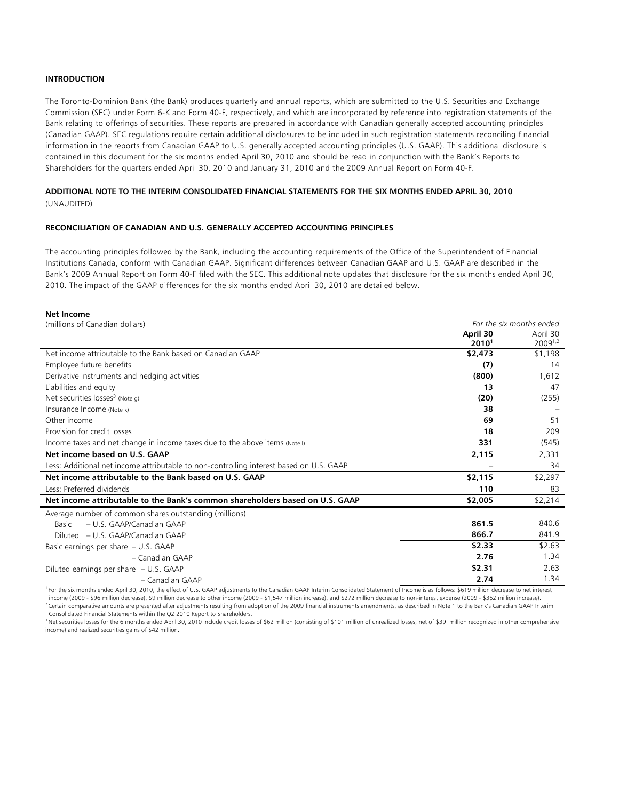# **INTRODUCTION**

The Toronto-Dominion Bank (the Bank) produces quarterly and annual reports, which are submitted to the U.S. Securities and Exchange Commission (SEC) under Form 6-K and Form 40-F, respectively, and which are incorporated by reference into registration statements of the Bank relating to offerings of securities. These reports are prepared in accordance with Canadian generally accepted accounting principles (Canadian GAAP). SEC regulations require certain additional disclosures to be included in such registration statements reconciling financial information in the reports from Canadian GAAP to U.S. generally accepted accounting principles (U.S. GAAP). This additional disclosure is contained in this document for the six months ended April 30, 2010 and should be read in conjunction with the Bank's Reports to Shareholders for the quarters ended April 30, 2010 and January 31, 2010 and the 2009 Annual Report on Form 40-F.

# **ADDITIONAL NOTE TO THE INTERIM CONSOLIDATED FINANCIAL STATEMENTS FOR THE SIX MONTHS ENDED APRIL 30, 2010**  (UNAUDITED)

### **RECONCILIATION OF CANADIAN AND U.S. GENERALLY ACCEPTED ACCOUNTING PRINCIPLES**

The accounting principles followed by the Bank, including the accounting requirements of the Office of the Superintendent of Financial Institutions Canada, conform with Canadian GAAP. Significant differences between Canadian GAAP and U.S. GAAP are described in the Bank's 2009 Annual Report on Form 40-F filed with the SEC. This additional note updates that disclosure for the six months ended April 30, 2010. The impact of the GAAP differences for the six months ended April 30, 2010 are detailed below.

#### **Net Income**

| (millions of Canadian dollars)                                                          |                   | For the six months ended |
|-----------------------------------------------------------------------------------------|-------------------|--------------------------|
|                                                                                         | April 30          | April 30                 |
|                                                                                         | 2010 <sup>1</sup> | 20091,2                  |
| Net income attributable to the Bank based on Canadian GAAP                              | \$2,473           | \$1,198                  |
| Employee future benefits                                                                | (7)               | 14                       |
| Derivative instruments and hedging activities                                           | (800)             | 1,612                    |
| Liabilities and equity                                                                  | 13                | 47                       |
| Net securities $losses3$ (Note q)                                                       | (20)              | (255)                    |
| Insurance Income (Note k)                                                               | 38                |                          |
| Other income                                                                            | 69                | 51                       |
| Provision for credit losses                                                             | 18                | 209                      |
| Income taxes and net change in income taxes due to the above items (Note I)             | 331               | (545)                    |
| Net income based on U.S. GAAP                                                           | 2,115             | 2,331                    |
| Less: Additional net income attributable to non-controlling interest based on U.S. GAAP |                   | 34                       |
| Net income attributable to the Bank based on U.S. GAAP                                  | \$2,115           | \$2,297                  |
| Less: Preferred dividends                                                               | 110               | 83                       |
| Net income attributable to the Bank's common shareholders based on U.S. GAAP            | \$2,005           | \$2,214                  |
| Average number of common shares outstanding (millions)                                  |                   |                          |
| - U.S. GAAP/Canadian GAAP<br>Basic                                                      | 861.5             | 840.6                    |
| Diluted – U.S. GAAP/Canadian GAAP                                                       | 866.7             | 841.9                    |
| Basic earnings per share $-$ U.S. GAAP                                                  | \$2.33            | \$2.63                   |
| - Canadian GAAP                                                                         | 2.76              | 1.34                     |
| Diluted earnings per share $- U.S. GAAP$                                                | \$2.31            | 2.63                     |
| - Canadian GAAP                                                                         | 2.74              | 1.34                     |
|                                                                                         |                   |                          |

For the six months ended April 30, 2010, the effect of U.S. GAAP adjustments to the Canadian GAAP Interim Consolidated Statement of Income is as follows: \$619 million decrease to net interest<br>income (2009 - \$96 million dec <sup>2</sup> Certain comparative amounts are presented after adjustments resulting from adoption of the 2009 financial instruments amendments, as described in Note 1 to the Bank's Canadian GAAP Interim

Consolidated Financial Statements within the Q2 2010 Report to Shareholders.<br><sup>3</sup> Net securities losses for the 6 months ended April 30, 2010 include credit losses of \$62 million (consisting of \$101 million of unrealized lo income) and realized securities gains of \$42 million.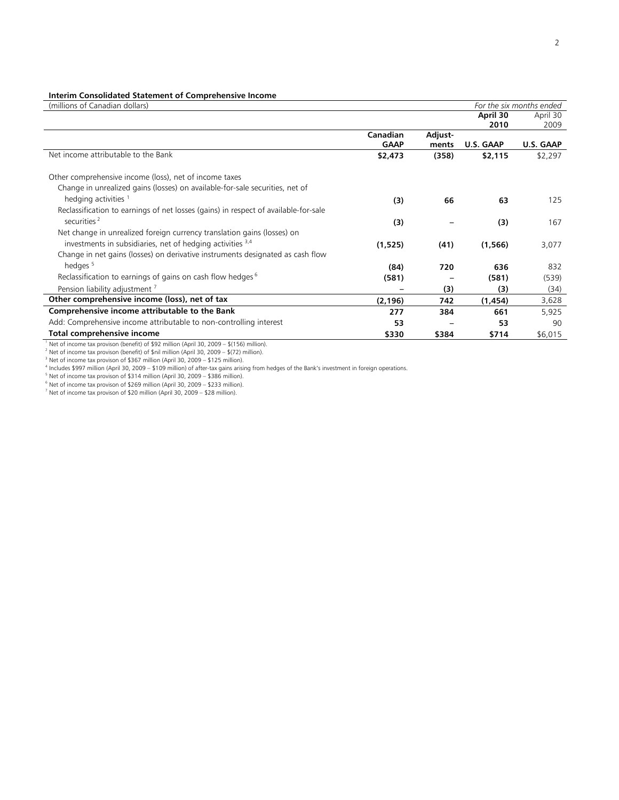## **Interim Consolidated Statement of Comprehensive Income**

| (millions of Canadian dollars)                                                           |                 |         |           | For the six months ended |
|------------------------------------------------------------------------------------------|-----------------|---------|-----------|--------------------------|
|                                                                                          |                 |         | April 30  | April 30                 |
|                                                                                          |                 |         | 2010      | 2009                     |
|                                                                                          | <b>Canadian</b> | Adjust- |           |                          |
|                                                                                          | <b>GAAP</b>     | ments   | U.S. GAAP | U.S. GAAP                |
| Net income attributable to the Bank                                                      | \$2,473         | (358)   | \$2,115   | \$2,297                  |
| Other comprehensive income (loss), net of income taxes                                   |                 |         |           |                          |
| Change in unrealized gains (losses) on available-for-sale securities, net of             |                 |         |           |                          |
| hedging activities <sup>1</sup>                                                          |                 | 66      | 63        |                          |
|                                                                                          | (3)             |         |           | 125                      |
| Reclassification to earnings of net losses (gains) in respect of available-for-sale      |                 |         |           |                          |
| securities <sup>2</sup>                                                                  | (3)             |         | (3)       | 167                      |
| Net change in unrealized foreign currency translation gains (losses) on                  |                 |         |           |                          |
| investments in subsidiaries, net of hedging activities 3,4                               | (1,525)         | (41)    | (1, 566)  | 3,077                    |
| Change in net gains (losses) on derivative instruments designated as cash flow           |                 |         |           |                          |
| hedges <sup>5</sup>                                                                      | (84)            | 720     | 636       | 832                      |
| Reclassification to earnings of gains on cash flow hedges <sup>6</sup>                   | (581)           |         | (581)     | (539)                    |
| Pension liability adjustment <sup>7</sup>                                                |                 | (3)     | (3)       | (34)                     |
| Other comprehensive income (loss), net of tax                                            | (2, 196)        | 742     | (1, 454)  | 3,628                    |
| Comprehensive income attributable to the Bank                                            | 277             | 384     | 661       | 5,925                    |
| Add: Comprehensive income attributable to non-controlling interest                       |                 |         |           | 90                       |
|                                                                                          | 53              |         | 53        |                          |
| Total comprehensive income                                                               | \$330           | \$384   | \$714     | \$6,015                  |
| Net of income tax provison (benefit) of \$92 million (April 30, 2009 - \$(156) million). |                 |         |           |                          |

<sup>2</sup> Net of income tax provison (benefit) of \$nil million (April 30, 2009 – \$(72) million).<br><sup>3</sup> Net of income tax provison of \$367 million (April 30, 2000 – \$125 million).

 $3$  Net of income tax provison of \$367 million (April 30, 2009 – \$125 million).

<sup>4</sup> Includes \$997 million (April 30, 2009 – \$109 million) of after-tax gains arising from hedges of the Bank's investment in foreign operations.<br><sup>5</sup> Net of inserts the arrivises of \$21.4 million (April 20, 2000 – \$200 mill

<sup>5</sup> Net of income tax provison of \$314 million (April 30, 2009 – \$386 million).<br><sup>6</sup> Net of income tax provison of \$269 million (April 30, 2009 – \$233 million).

7 Net of income tax provison of \$20 million (April 30, 2009 – \$28 million).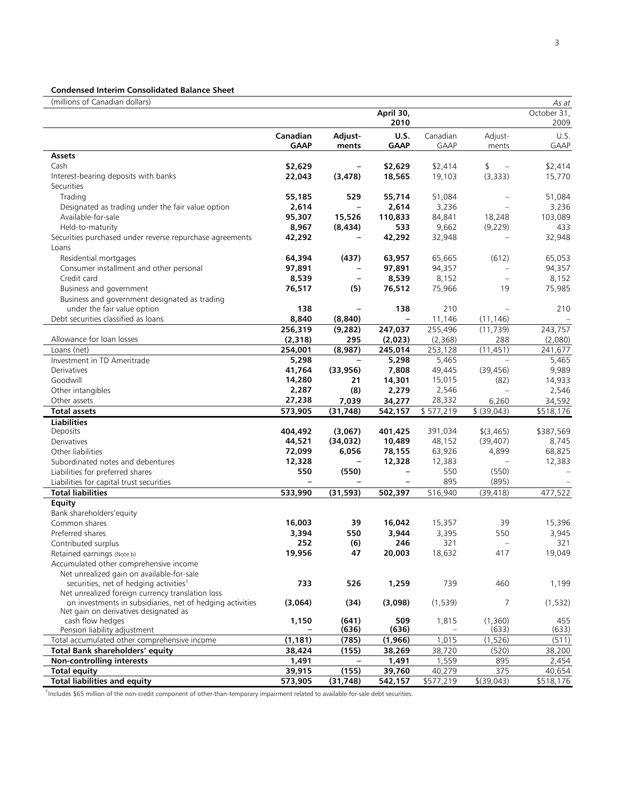# **Condensed Interim Consolidated Balance Sheet**

| (millions of Canadian dollars)                                                      |              |                          |                          |              |                   | As at        |
|-------------------------------------------------------------------------------------|--------------|--------------------------|--------------------------|--------------|-------------------|--------------|
|                                                                                     |              |                          | April 30,                |              |                   | October 31,  |
|                                                                                     |              |                          | 2010                     |              |                   | 2009         |
|                                                                                     | Canadian     | Adjust-                  | <b>U.S.</b>              | Canadian     | Adjust-           | U.S.         |
|                                                                                     | <b>GAAP</b>  | ments                    | <b>GAAP</b>              | <b>GAAP</b>  | ments             | <b>GAAP</b>  |
| Assets                                                                              |              |                          |                          |              |                   |              |
| Cash                                                                                | \$2,629      |                          | \$2,629                  | \$2,414      | \$<br>$\equiv$    | \$2,414      |
| Interest-bearing deposits with banks                                                | 22,043       | (3, 478)                 | 18,565                   | 19,103       | (3, 333)          | 15,770       |
| Securities                                                                          |              |                          |                          |              |                   |              |
| Trading                                                                             | 55,185       | 529                      | 55,714                   | 51,084       |                   | 51,084       |
| Designated as trading under the fair value option                                   | 2,614        | $\qquad \qquad -$        | 2,614                    | 3,236        |                   | 3,236        |
| Available-for-sale                                                                  | 95,307       | 15,526                   | 110,833                  | 84,841       | 18,248            | 103,089      |
| Held-to-maturity                                                                    | 8,967        | (8, 434)                 | 533                      | 9,662        | (9,229)           | 433          |
| Securities purchased under reverse repurchase agreements                            | 42,292       |                          | 42,292                   | 32,948       |                   | 32,948       |
| Loans                                                                               |              |                          |                          |              |                   |              |
| Residential mortgages                                                               | 64,394       | (437)                    | 63,957                   | 65,665       | (612)             | 65,053       |
| Consumer installment and other personal                                             | 97,891       | $\overline{\phantom{0}}$ | 97,891                   | 94,357       | $\sim$            | 94,357       |
| Credit card                                                                         | 8,539        | $\overline{\phantom{a}}$ | 8,539                    | 8,152        | $\equiv$          | 8,152        |
| Business and government                                                             | 76,517       | (5)                      | 76,512                   | 75,966       | 19                | 75,985       |
| Business and government designated as trading                                       |              |                          |                          |              |                   |              |
| under the fair value option                                                         | 138          |                          | 138                      | 210          | L,                | 210          |
| Debt securities classified as loans                                                 | 8,840        | (8, 840)                 | $\overline{\phantom{a}}$ | 11,146       | (11, 146)         |              |
|                                                                                     | 256,319      | (9, 282)                 | 247,037                  | 255,496      | (11, 739)         | 243,757      |
| Allowance for loan losses                                                           | (2,318)      | 295                      | (2,023)                  | (2,368)      | 288               | (2,080)      |
| Loans (net)                                                                         | 254,001      | (8,987)                  | 245,014                  | 253,128      | (11, 451)         | 241.677      |
| Investment in TD Ameritrade                                                         | 5,298        | $\qquad \qquad -$        | 5,298                    | 5,465        | $\sim$            | 5,465        |
| Derivatives                                                                         | 41,764       | (33, 956)                | 7,808                    | 49,445       | (39, 456)         | 9,989        |
| Goodwill                                                                            | 14,280       | 21                       | 14,301                   | 15,015       | (82)              | 14,933       |
| Other intangibles                                                                   | 2,287        | (8)                      | 2,279                    | 2,546        | $\sim$            | 2,546        |
| Other assets                                                                        | 27,238       | 7,039                    | 34,277                   | 28,332       | 6,260             | 34,592       |
| <b>Total assets</b>                                                                 | 573,905      | (31, 748)                | 542,157                  | \$577,219    | \$ (39,043)       | \$518,176    |
| <b>Liabilities</b>                                                                  |              |                          |                          |              |                   |              |
| Deposits                                                                            | 404,492      | (3,067)                  | 401,425                  | 391,034      | \$(3,465)         | \$387,569    |
| Derivatives                                                                         | 44,521       | (34, 032)                | 10,489                   | 48,152       | (39, 407)         | 8,745        |
| Other liabilities                                                                   | 72,099       | 6,056                    | 78,155                   | 63,926       | 4,899             | 68,825       |
| Subordinated notes and debentures                                                   | 12,328       |                          | 12,328                   | 12,383       |                   | 12,383       |
| Liabilities for preferred shares                                                    | 550          | (550)                    | $\qquad \qquad -$        | 550          | (550)             |              |
| Liabilities for capital trust securities                                            |              |                          |                          | 895          | (895)             |              |
| <b>Total liabilities</b>                                                            | 533,990      | (31, 593)                | 502,397                  | 516,940      | (39, 418)         | 477,522      |
| Equity                                                                              |              |                          |                          |              |                   |              |
| Bank shareholders' equity<br>Common shares                                          | 16,003       |                          | 16,042                   |              |                   |              |
|                                                                                     |              | 39                       |                          | 15,357       | 39<br>550         | 15,396       |
| Preferred shares                                                                    | 3,394<br>252 | 550                      | 3,944<br>246             | 3,395<br>321 | $\qquad \qquad -$ | 3,945<br>321 |
| Contributed surplus                                                                 | 19,956       | (6)<br>47                | 20,003                   | 18,632       | 417               | 19,049       |
| Retained earnings (Note b)                                                          |              |                          |                          |              |                   |              |
| Accumulated other comprehensive income<br>Net unrealized gain on available-for-sale |              |                          |                          |              |                   |              |
| securities, net of hedging activities <sup>1</sup>                                  | 733          | 526                      | 1,259                    | 739          | 460               | 1,199        |
| Net unrealized foreign currency translation loss                                    |              |                          |                          |              |                   |              |
| on investments in subsidiaries, net of hedging activities                           | (3,064)      | (34)                     | (3,098)                  | (1,539)      | 7                 | (1, 532)     |
| Net gain on derivatives designated as                                               |              |                          |                          |              |                   |              |
| cash flow hedges                                                                    | 1,150        | (641)                    | 509                      | 1,815        | (1,360)           | 455          |
| Pension liability adjustment                                                        |              | (636)                    | (636)                    |              | (633)             | (633)        |
| Total accumulated other comprehensive income                                        | (1, 181)     | (785)                    | (1,966)                  | 1,015        | (1,526)           | (511)        |
| Total Bank shareholders' equity                                                     | 38,424       | (155)                    | 38,269                   | 38,720       | (520)             | 38,200       |
| Non-controlling interests                                                           | 1,491        |                          | 1,491                    | 1,559        | 895               | 2,454        |
| <b>Total equity</b>                                                                 | 39,915       | (155)                    | 39,760                   | 40,279       | 375               | 40,654       |
| <b>Total liabilities and equity</b>                                                 | 573,905      | (31, 748)                | 542,157                  | \$577,219    | $$$ (39,043)      | \$518,176    |

<sup>1</sup>Includes \$65 million of the non-credit component of other-than-temporary impairment related to available-for-sale debt securities.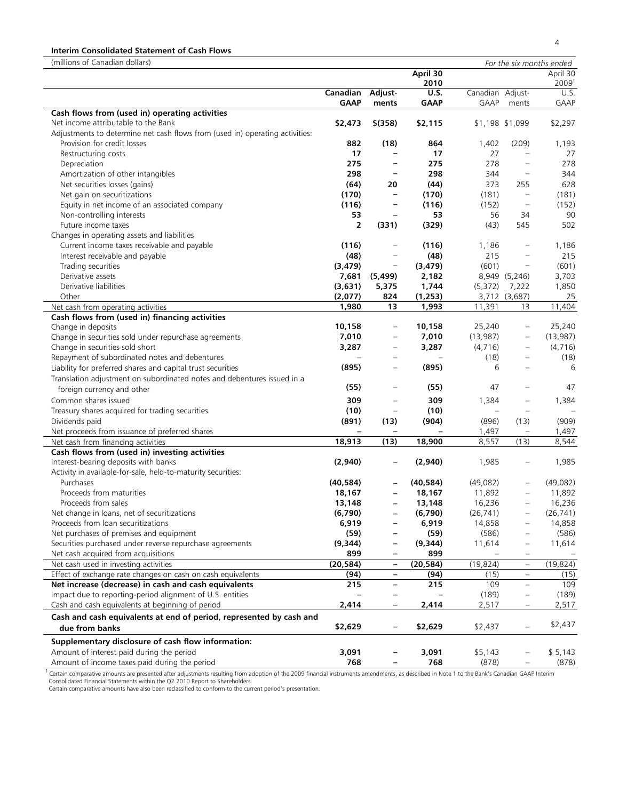# **Interim Consolidated Statement of Cash Flows**

| (millions of Canadian dollars)                                                                                                                                                                                                                               |                |                          |                  |                   |                          | For the six months ended |
|--------------------------------------------------------------------------------------------------------------------------------------------------------------------------------------------------------------------------------------------------------------|----------------|--------------------------|------------------|-------------------|--------------------------|--------------------------|
|                                                                                                                                                                                                                                                              |                |                          | April 30<br>2010 |                   |                          | April 30<br>20091        |
|                                                                                                                                                                                                                                                              | Canadian       | Adjust-                  | <b>U.S.</b>      | Canadian Adjust-  |                          | U.S.                     |
|                                                                                                                                                                                                                                                              | <b>GAAP</b>    | ments                    | <b>GAAP</b>      | GAAP              | ments                    | GAAP                     |
| Cash flows from (used in) operating activities                                                                                                                                                                                                               |                |                          |                  |                   |                          |                          |
| Net income attributable to the Bank                                                                                                                                                                                                                          | \$2,473        | $$$ (358)                | \$2,115          |                   | \$1,198 \$1,099          | \$2,297                  |
| Adjustments to determine net cash flows from (used in) operating activities:                                                                                                                                                                                 |                |                          |                  |                   |                          |                          |
| Provision for credit losses                                                                                                                                                                                                                                  | 882            | (18)                     | 864              | 1,402             | (209)                    | 1,193                    |
| Restructuring costs                                                                                                                                                                                                                                          | 17             | $\overline{\phantom{0}}$ | 17               | 27                |                          | 27                       |
| Depreciation                                                                                                                                                                                                                                                 | 275            | $\qquad \qquad -$        | 275              | 278               | $\equiv$                 | 278                      |
| Amortization of other intangibles                                                                                                                                                                                                                            | 298            | $\qquad \qquad -$        | 298              | 344               | $\equiv$                 | 344                      |
| Net securities losses (gains)                                                                                                                                                                                                                                | (64)           | 20                       | (44)             | 373               | 255                      | 628                      |
| Net gain on securitizations                                                                                                                                                                                                                                  | (170)          | $\qquad \qquad -$        | (170)            | (181)             | $\equiv$                 | (181)                    |
| Equity in net income of an associated company                                                                                                                                                                                                                | (116)          | $\qquad \qquad -$        | (116)            | (152)             | $\equiv$                 | (152)                    |
| Non-controlling interests                                                                                                                                                                                                                                    | 53             | $\qquad \qquad -$        | 53               | 56                | 34                       | 90                       |
| Future income taxes                                                                                                                                                                                                                                          | $\overline{2}$ | (331)                    | (329)            | (43)              | 545                      | 502                      |
| Changes in operating assets and liabilities                                                                                                                                                                                                                  |                |                          |                  |                   |                          |                          |
| Current income taxes receivable and payable                                                                                                                                                                                                                  | (116)          | $\qquad \qquad -$        | (116)            | 1,186             |                          | 1,186                    |
| Interest receivable and payable                                                                                                                                                                                                                              | (48)           | $\qquad \qquad -$        | (48)             | 215               |                          | 215                      |
| Trading securities                                                                                                                                                                                                                                           | (3, 479)       | $\qquad \qquad =$        | (3, 479)         | (601)             | $\qquad \qquad -$        | (601)                    |
| Derivative assets                                                                                                                                                                                                                                            | 7,681          | (5, 499)                 | 2,182            |                   | 8,949 (5,246)            | 3,703                    |
| Derivative liabilities                                                                                                                                                                                                                                       | (3,631)        | 5,375                    | 1,744            | (5,372)           | 7,222                    | 1,850                    |
| Other                                                                                                                                                                                                                                                        | (2,077)        | 824                      | (1, 253)         |                   | 3,712 (3,687)            | 25                       |
| Net cash from operating activities                                                                                                                                                                                                                           | 1,980          | 13                       | 1,993            | 11,391            | 13                       | 11,404                   |
| Cash flows from (used in) financing activities                                                                                                                                                                                                               |                |                          |                  |                   |                          |                          |
| Change in deposits                                                                                                                                                                                                                                           | 10,158         | $\overline{\phantom{m}}$ | 10,158           | 25,240            | $\qquad \qquad -$        | 25,240                   |
| Change in securities sold under repurchase agreements                                                                                                                                                                                                        | 7,010          | $\overline{\phantom{m}}$ | 7,010            | (13,987)          | $\equiv$                 | (13, 987)                |
| Change in securities sold short                                                                                                                                                                                                                              | 3,287          | $\qquad \qquad -$        | 3,287            | (4,716)           |                          | (4,716)                  |
| Repayment of subordinated notes and debentures                                                                                                                                                                                                               |                | $\equiv$                 |                  | (18)              |                          | (18)                     |
| Liability for preferred shares and capital trust securities                                                                                                                                                                                                  | (895)          | $\qquad \qquad -$        | (895)            | 6                 |                          | 6                        |
| Translation adjustment on subordinated notes and debentures issued in a                                                                                                                                                                                      |                |                          |                  |                   |                          |                          |
| foreign currency and other                                                                                                                                                                                                                                   | (55)           | $\qquad \qquad -$        | (55)             | 47                |                          | 47                       |
| Common shares issued                                                                                                                                                                                                                                         | 309            | $\overline{\phantom{m}}$ | 309              | 1,384             |                          | 1,384                    |
| Treasury shares acquired for trading securities                                                                                                                                                                                                              | (10)           | $\qquad \qquad =$        | (10)             | $\qquad \qquad -$ | $\qquad \qquad -$        |                          |
| Dividends paid                                                                                                                                                                                                                                               | (891)          | (13)                     | (904)            | (896)             | (13)                     | (909)                    |
| Net proceeds from issuance of preferred shares                                                                                                                                                                                                               |                |                          |                  | 1,497             |                          | 1,497                    |
| Net cash from financing activities                                                                                                                                                                                                                           | 18,913         | (13)                     | 18,900           | 8,557             | (13)                     | 8,544                    |
| Cash flows from (used in) investing activities                                                                                                                                                                                                               |                |                          |                  |                   |                          |                          |
| Interest-bearing deposits with banks                                                                                                                                                                                                                         | (2,940)        |                          | (2,940)          | 1,985             |                          | 1,985                    |
| Activity in available-for-sale, held-to-maturity securities:                                                                                                                                                                                                 |                |                          |                  |                   |                          |                          |
| Purchases                                                                                                                                                                                                                                                    | (40, 584)      |                          | (40, 584)        | (49,082)          | $\overline{\phantom{0}}$ | (49, 082)                |
| Proceeds from maturities                                                                                                                                                                                                                                     | 18,167         |                          | 18,167           | 11,892            |                          | 11,892                   |
| Proceeds from sales                                                                                                                                                                                                                                          | 13,148         |                          | 13,148           | 16,236            | $\equiv$                 | 16,236                   |
| Net change in loans, net of securitizations                                                                                                                                                                                                                  | (6,790)        |                          | (6, 790)         | (26, 741)         |                          | (26, 741)                |
| Proceeds from loan securitizations                                                                                                                                                                                                                           | 6,919          |                          | 6,919            | 14,858            |                          | 14,858                   |
| Net purchases of premises and equipment                                                                                                                                                                                                                      | (59)           |                          | (59)             | (586)             |                          | (586)                    |
| Securities purchased under reverse repurchase agreements                                                                                                                                                                                                     | (9,344)        | $\qquad \qquad -$        | (9, 344)         | 11,614            |                          | 11,614                   |
| Net cash acquired from acquisitions                                                                                                                                                                                                                          | 899            | $\overline{\phantom{0}}$ | 899              |                   |                          |                          |
| Net cash used in investing activities                                                                                                                                                                                                                        | (20, 584)      |                          | (20, 584)        | (19, 824)         | $\equiv$                 | (19, 824)                |
| Effect of exchange rate changes on cash on cash equivalents                                                                                                                                                                                                  | (94)           | $\qquad \qquad -$        | (94)             | (15)              | ÷                        | (15)                     |
| Net increase (decrease) in cash and cash equivalents                                                                                                                                                                                                         | 215            | $\overline{\phantom{0}}$ | 215              | 109               | $\equiv$                 | 109                      |
| Impact due to reporting-period alignment of U.S. entities                                                                                                                                                                                                    |                | $\qquad \qquad -$        |                  | (189)             | $\overline{\phantom{a}}$ | (189)                    |
| Cash and cash equivalents at beginning of period                                                                                                                                                                                                             | 2,414          | $\qquad \qquad -$        | 2,414            | 2,517             | $\qquad \qquad =$        | 2,517                    |
| Cash and cash equivalents at end of period, represented by cash and<br>due from banks                                                                                                                                                                        | \$2,629        |                          | \$2,629          | \$2,437           |                          | \$2,437                  |
|                                                                                                                                                                                                                                                              |                |                          |                  |                   |                          |                          |
| Supplementary disclosure of cash flow information:                                                                                                                                                                                                           |                |                          |                  |                   |                          |                          |
| Amount of interest paid during the period                                                                                                                                                                                                                    | 3,091          |                          | 3,091            | \$5,143           |                          | \$5,143                  |
| Amount of income taxes paid during the period<br><sup>1</sup> Certain comparative amounts are presented after adjustments resulting from adoption of the 2000 financial instruments amondments, as described in Note 1 to the Raply's Canadian GAAR Interior | 768            |                          | 768              | (878)             |                          | (878)                    |

<sup>1</sup> Certain comparative amounts are presented after adjustments resulting from adoption of the 2009 financial instruments amendments, as described in Note 1 to the Bank's Canadian GAAP Interim<br>Consolidated Financial Statem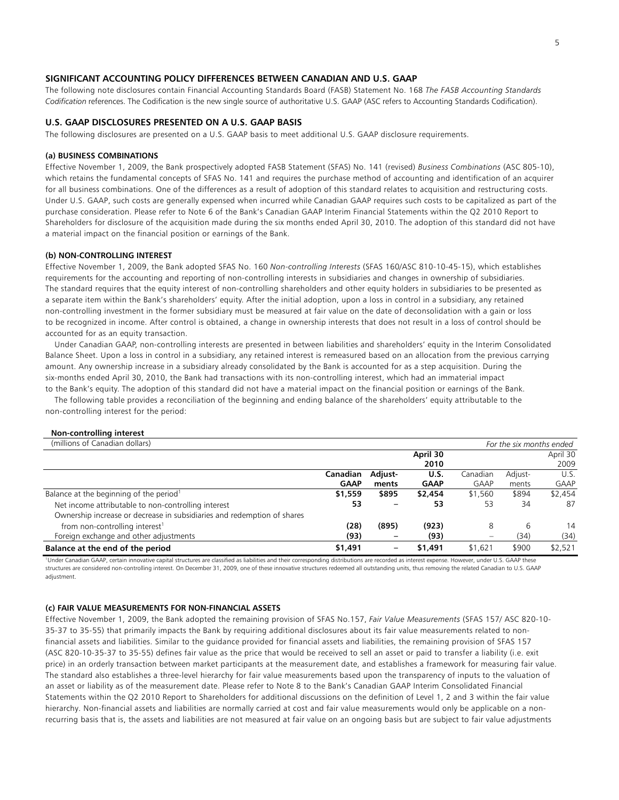# **SIGNIFICANT ACCOUNTING POLICY DIFFERENCES BETWEEN CANADIAN AND U.S. GAAP**

The following note disclosures contain Financial Accounting Standards Board (FASB) Statement No. 168 *The FASB Accounting Standards Codification* references. The Codification is the new single source of authoritative U.S. GAAP (ASC refers to Accounting Standards Codification).

# **U.S. GAAP DISCLOSURES PRESENTED ON A U.S. GAAP BASIS**

The following disclosures are presented on a U.S. GAAP basis to meet additional U.S. GAAP disclosure requirements.

### **(a) BUSINESS COMBINATIONS**

Effective November 1, 2009, the Bank prospectively adopted FASB Statement (SFAS) No. 141 (revised) *Business Combinations* (ASC 805-10), which retains the fundamental concepts of SFAS No. 141 and requires the purchase method of accounting and identification of an acquirer for all business combinations. One of the differences as a result of adoption of this standard relates to acquisition and restructuring costs. Under U.S. GAAP, such costs are generally expensed when incurred while Canadian GAAP requires such costs to be capitalized as part of the purchase consideration. Please refer to Note 6 of the Bank's Canadian GAAP Interim Financial Statements within the Q2 2010 Report to Shareholders for disclosure of the acquisition made during the six months ended April 30, 2010. The adoption of this standard did not have a material impact on the financial position or earnings of the Bank.

#### **(b) NON-CONTROLLING INTEREST**

Effective November 1, 2009, the Bank adopted SFAS No. 160 *Non-controlling Interests* (SFAS 160/ASC 810-10-45-15), which establishes requirements for the accounting and reporting of non-controlling interests in subsidiaries and changes in ownership of subsidiaries. The standard requires that the equity interest of non-controlling shareholders and other equity holders in subsidiaries to be presented as a separate item within the Bank's shareholders' equity. After the initial adoption, upon a loss in control in a subsidiary, any retained non-controlling investment in the former subsidiary must be measured at fair value on the date of deconsolidation with a gain or loss to be recognized in income. After control is obtained, a change in ownership interests that does not result in a loss of control should be accounted for as an equity transaction.

 Under Canadian GAAP, non-controlling interests are presented in between liabilities and shareholders' equity in the Interim Consolidated Balance Sheet. Upon a loss in control in a subsidiary, any retained interest is remeasured based on an allocation from the previous carrying amount. Any ownership increase in a subsidiary already consolidated by the Bank is accounted for as a step acquisition. During the six-months ended April 30, 2010, the Bank had transactions with its non-controlling interest, which had an immaterial impact to the Bank's equity. The adoption of this standard did not have a material impact on the financial position or earnings of the Bank.

 The following table provides a reconciliation of the beginning and ending balance of the shareholders' equity attributable to the non-controlling interest for the period:

# **Non-controlling interest**

| (millions of Canadian dollars)                                          |             |         |             |             | For the six months ended |             |
|-------------------------------------------------------------------------|-------------|---------|-------------|-------------|--------------------------|-------------|
|                                                                         |             |         | April 30    |             |                          | April 30    |
|                                                                         |             |         | 2010        |             |                          | 2009        |
|                                                                         | Canadian    | Adjust- | U.S.        | Canadian    | Adjust-                  | U.S.        |
|                                                                         | <b>GAAP</b> | ments   | <b>GAAP</b> | <b>GAAP</b> | ments                    | <b>GAAP</b> |
| Balance at the beginning of the period <sup>1</sup>                     | \$1,559     | \$895   | \$2,454     | \$1,560     | \$894                    | \$2,454     |
| Net income attributable to non-controlling interest                     | 53          |         | 53          | 53          | 34                       | 87          |
| Ownership increase or decrease in subsidiaries and redemption of shares |             |         |             |             |                          |             |
| from non-controlling interest <sup>1</sup>                              | (28)        | (895)   | (923)       | 8           | 6                        | 14          |
| Foreign exchange and other adjustments                                  | (93)        |         | (93)        |             | (34)                     | (34)        |
| Balance at the end of the period                                        | \$1,491     |         | \$1,491     | \$1,621     | \$900                    | \$2,521     |

<sup>1</sup>Under Canadian GAAP, certain innovative capital structures are classified as liabilities and their corresponding distributions are recorded as interest expense. However, under U.S. GAAP these structures are considered non-controlling interest. On December 31, 2009, one of these innovative structures redeemed all outstanding units, thus removing the related Canadian to U.S. GAAP adjustment.

#### **(c) FAIR VALUE MEASUREMENTS FOR NON-FINANCIAL ASSETS**

Effective November 1, 2009, the Bank adopted the remaining provision of SFAS No.157, *Fair Value Measurements* (SFAS 157/ ASC 820-10- 35-37 to 35-55) that primarily impacts the Bank by requiring additional disclosures about its fair value measurements related to nonfinancial assets and liabilities. Similar to the guidance provided for financial assets and liabilities, the remaining provision of SFAS 157 (ASC 820-10-35-37 to 35-55) defines fair value as the price that would be received to sell an asset or paid to transfer a liability (i.e. exit price) in an orderly transaction between market participants at the measurement date, and establishes a framework for measuring fair value. The standard also establishes a three-level hierarchy for fair value measurements based upon the transparency of inputs to the valuation of an asset or liability as of the measurement date. Please refer to Note 8 to the Bank's Canadian GAAP Interim Consolidated Financial Statements within the Q2 2010 Report to Shareholders for additional discussions on the definition of Level 1, 2 and 3 within the fair value hierarchy. Non-financial assets and liabilities are normally carried at cost and fair value measurements would only be applicable on a nonrecurring basis that is, the assets and liabilities are not measured at fair value on an ongoing basis but are subject to fair value adjustments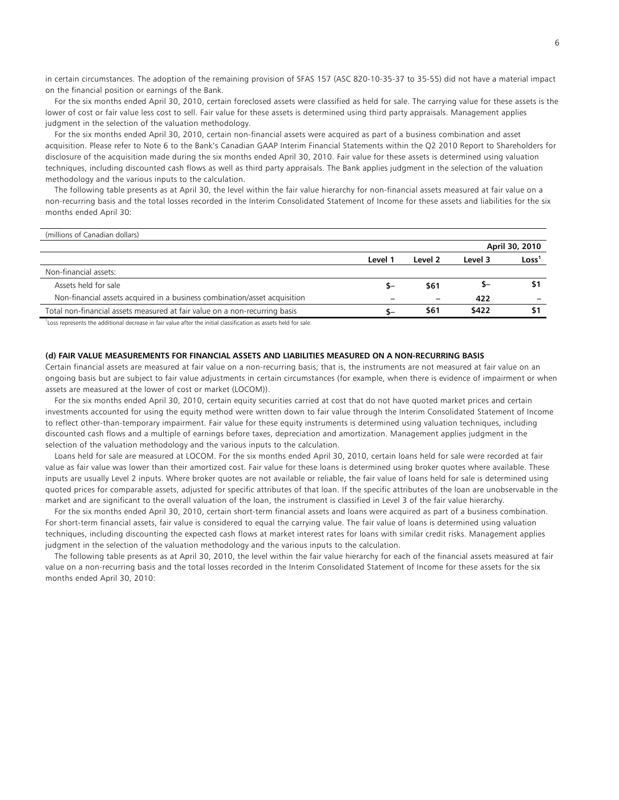in certain circumstances. The adoption of the remaining provision of SFAS 157 (ASC 820-10-35-37 to 35-55) did not have a material impact on the financial position or earnings of the Bank.

 For the six months ended April 30, 2010, certain foreclosed assets were classified as held for sale. The carrying value for these assets is the lower of cost or fair value less cost to sell. Fair value for these assets is determined using third party appraisals. Management applies judgment in the selection of the valuation methodology.

 For the six months ended April 30, 2010, certain non-financial assets were acquired as part of a business combination and asset acquisition. Please refer to Note 6 to the Bank's Canadian GAAP Interim Financial Statements within the Q2 2010 Report to Shareholders for disclosure of the acquisition made during the six months ended April 30, 2010. Fair value for these assets is determined using valuation techniques, including discounted cash flows as well as third party appraisals. The Bank applies judgment in the selection of the valuation methodology and the various inputs to the calculation.

 The following table presents as at April 30, the level within the fair value hierarchy for non-financial assets measured at fair value on a non-recurring basis and the total losses recorded in the Interim Consolidated Statement of Income for these assets and liabilities for the six months ended April 30:

| (millions of Canadian dollars)                                             |         |                          |         |                   |
|----------------------------------------------------------------------------|---------|--------------------------|---------|-------------------|
|                                                                            |         |                          |         | April 30, 2010    |
|                                                                            | Level 1 | Level 2                  | Level 3 | Loss <sup>1</sup> |
| Non-financial assets:                                                      |         |                          |         |                   |
| Assets held for sale                                                       | - 5     | \$61                     | –כ      |                   |
| Non-financial assets acquired in a business combination/asset acquisition  |         | $\overline{\phantom{0}}$ | 422     |                   |
| Total non-financial assets measured at fair value on a non-recurring basis | \$–     | \$61                     | \$422   | 51                |

<sup>1</sup>Loss represents the additional decrease in fair value after the initial classification as assets held for sale.

### **(d) FAIR VALUE MEASUREMENTS FOR FINANCIAL ASSETS AND LIABILITIES MEASURED ON A NON-RECURRING BASIS**

Certain financial assets are measured at fair value on a non-recurring basis; that is, the instruments are not measured at fair value on an ongoing basis but are subject to fair value adjustments in certain circumstances (for example, when there is evidence of impairment or when assets are measured at the lower of cost or market (LOCOM)).

 For the six months ended April 30, 2010, certain equity securities carried at cost that do not have quoted market prices and certain investments accounted for using the equity method were written down to fair value through the Interim Consolidated Statement of Income to reflect other-than-temporary impairment. Fair value for these equity instruments is determined using valuation techniques, including discounted cash flows and a multiple of earnings before taxes, depreciation and amortization. Management applies judgment in the selection of the valuation methodology and the various inputs to the calculation.

 Loans held for sale are measured at LOCOM. For the six months ended April 30, 2010, certain loans held for sale were recorded at fair value as fair value was lower than their amortized cost. Fair value for these loans is determined using broker quotes where available. These inputs are usually Level 2 inputs. Where broker quotes are not available or reliable, the fair value of loans held for sale is determined using quoted prices for comparable assets, adjusted for specific attributes of that loan. If the specific attributes of the loan are unobservable in the market and are significant to the overall valuation of the loan, the instrument is classified in Level 3 of the fair value hierarchy.

 For the six months ended April 30, 2010, certain short-term financial assets and loans were acquired as part of a business combination. For short-term financial assets, fair value is considered to equal the carrying value. The fair value of loans is determined using valuation techniques, including discounting the expected cash flows at market interest rates for loans with similar credit risks. Management applies judgment in the selection of the valuation methodology and the various inputs to the calculation.

 The following table presents as at April 30, 2010, the level within the fair value hierarchy for each of the financial assets measured at fair value on a non-recurring basis and the total losses recorded in the Interim Consolidated Statement of Income for these assets for the six months ended April 30, 2010: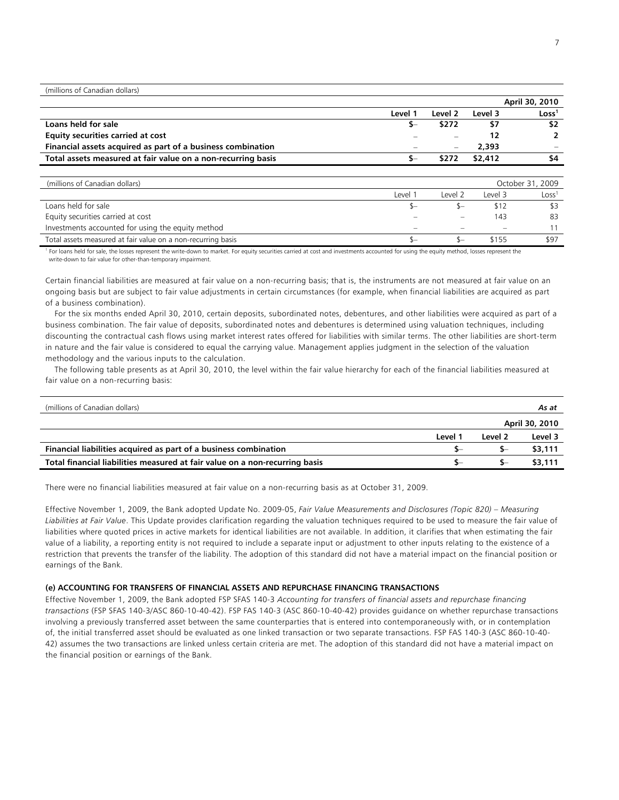(millions of Canadian dollars)

|                                                              |         |                          |         | April 30, 2010    |
|--------------------------------------------------------------|---------|--------------------------|---------|-------------------|
|                                                              | Level 1 | Level 2                  | Level 3 | Loss <sup>1</sup> |
| Loans held for sale                                          |         | \$272                    |         | \$2               |
| <b>Equity securities carried at cost</b>                     |         |                          |         |                   |
| Financial assets acquired as part of a business combination  |         | $\overline{\phantom{m}}$ | 2,393   |                   |
| Total assets measured at fair value on a non-recurring basis |         | \$272                    | \$2,412 | \$4               |
|                                                              |         |                          |         |                   |
|                                                              |         |                          |         |                   |

| (millions of Canadian dollars)                               |                          |                          |         | October 31, 2009  |
|--------------------------------------------------------------|--------------------------|--------------------------|---------|-------------------|
|                                                              | Level '                  | Level 2                  | Level 3 | Loss <sup>1</sup> |
| Loans held for sale                                          |                          |                          |         |                   |
| Equity securities carried at cost                            |                          | $\overline{\phantom{a}}$ | 143     |                   |
| Investments accounted for using the equity method            | $\overline{\phantom{a}}$ |                          |         |                   |
| Total assets measured at fair value on a non-recurring basis |                          |                          | \$155   | \$97              |

1 For loans held for sale, the losses represent the write-down to market. For equity securities carried at cost and investments accounted for using the equity method, losses represent the write-down to fair value for other-than-temporary impairment.

Certain financial liabilities are measured at fair value on a non-recurring basis; that is, the instruments are not measured at fair value on an ongoing basis but are subject to fair value adjustments in certain circumstances (for example, when financial liabilities are acquired as part of a business combination).

 For the six months ended April 30, 2010, certain deposits, subordinated notes, debentures, and other liabilities were acquired as part of a business combination. The fair value of deposits, subordinated notes and debentures is determined using valuation techniques, including discounting the contractual cash flows using market interest rates offered for liabilities with similar terms. The other liabilities are short-term in nature and the fair value is considered to equal the carrying value. Management applies judgment in the selection of the valuation methodology and the various inputs to the calculation.

 The following table presents as at April 30, 2010, the level within the fair value hierarchy for each of the financial liabilities measured at fair value on a non-recurring basis:

| (millions of Canadian dollars)                                              |       |         | As at          |
|-----------------------------------------------------------------------------|-------|---------|----------------|
|                                                                             |       |         | April 30, 2010 |
|                                                                             | Level | Level 2 | Level 3        |
| Financial liabilities acquired as part of a business combination            |       | Տ–      | \$3,111        |
| Total financial liabilities measured at fair value on a non-recurring basis |       |         | \$3,111        |

There were no financial liabilities measured at fair value on a non-recurring basis as at October 31, 2009.

Effective November 1, 2009, the Bank adopted Update No. 2009-05, *Fair Value Measurements and Disclosures (Topic 820) – Measuring Liabilities at Fair Value*. This Update provides clarification regarding the valuation techniques required to be used to measure the fair value of liabilities where quoted prices in active markets for identical liabilities are not available. In addition, it clarifies that when estimating the fair value of a liability, a reporting entity is not required to include a separate input or adjustment to other inputs relating to the existence of a restriction that prevents the transfer of the liability. The adoption of this standard did not have a material impact on the financial position or earnings of the Bank.

### **(e) ACCOUNTING FOR TRANSFERS OF FINANCIAL ASSETS AND REPURCHASE FINANCING TRANSACTIONS**

Effective November 1, 2009, the Bank adopted FSP SFAS 140-3 *Accounting for transfers of financial assets and repurchase financing transactions* (FSP SFAS 140-3/ASC 860-10-40-42). FSP FAS 140-3 (ASC 860-10-40-42) provides guidance on whether repurchase transactions involving a previously transferred asset between the same counterparties that is entered into contemporaneously with, or in contemplation of, the initial transferred asset should be evaluated as one linked transaction or two separate transactions. FSP FAS 140-3 (ASC 860-10-40- 42) assumes the two transactions are linked unless certain criteria are met. The adoption of this standard did not have a material impact on the financial position or earnings of the Bank.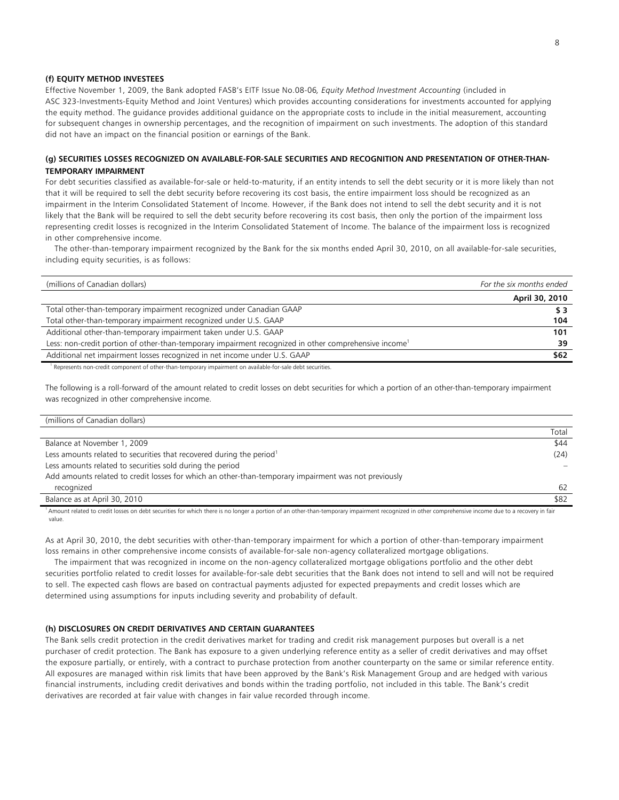# **(f) EQUITY METHOD INVESTEES**

Effective November 1, 2009, the Bank adopted FASB's EITF Issue No.08-06*, Equity Method Investment Accounting* (included in ASC 323-Investments-Equity Method and Joint Ventures) which provides accounting considerations for investments accounted for applying the equity method. The guidance provides additional guidance on the appropriate costs to include in the initial measurement, accounting for subsequent changes in ownership percentages, and the recognition of impairment on such investments. The adoption of this standard did not have an impact on the financial position or earnings of the Bank.

# **(g) SECURITIES LOSSES RECOGNIZED ON AVAILABLE-FOR-SALE SECURITIES AND RECOGNITION AND PRESENTATION OF OTHER-THAN-TEMPORARY IMPAIRMENT**

For debt securities classified as available-for-sale or held-to-maturity, if an entity intends to sell the debt security or it is more likely than not that it will be required to sell the debt security before recovering its cost basis, the entire impairment loss should be recognized as an impairment in the Interim Consolidated Statement of Income. However, if the Bank does not intend to sell the debt security and it is not likely that the Bank will be required to sell the debt security before recovering its cost basis, then only the portion of the impairment loss representing credit losses is recognized in the Interim Consolidated Statement of Income. The balance of the impairment loss is recognized in other comprehensive income.

 The other-than-temporary impairment recognized by the Bank for the six months ended April 30, 2010, on all available-for-sale securities, including equity securities, is as follows:

| (millions of Canadian dollars)                                                                                    | For the six months ended |
|-------------------------------------------------------------------------------------------------------------------|--------------------------|
|                                                                                                                   | April 30, 2010           |
| Total other-than-temporary impairment recognized under Canadian GAAP                                              | \$3                      |
| Total other-than-temporary impairment recognized under U.S. GAAP                                                  | 104                      |
| Additional other-than-temporary impairment taken under U.S. GAAP                                                  | 101                      |
| Less: non-credit portion of other-than-temporary impairment recognized in other comprehensive income <sup>1</sup> | 39                       |
| Additional net impairment losses recognized in net income under U.S. GAAP                                         | \$62                     |
|                                                                                                                   |                          |

1 Represents non-credit component of other-than-temporary impairment on available-for-sale debt securities.

The following is a roll-forward of the amount related to credit losses on debt securities for which a portion of an other-than-temporary impairment was recognized in other comprehensive income.

| (millions of Canadian dollars)                                                                       |       |
|------------------------------------------------------------------------------------------------------|-------|
|                                                                                                      | Total |
| Balance at November 1, 2009                                                                          | \$44  |
| Less amounts related to securities that recovered during the period <sup>1</sup>                     | (24)  |
| Less amounts related to securities sold during the period                                            |       |
| Add amounts related to credit losses for which an other-than-temporary impairment was not previously |       |
| recognized                                                                                           | 62    |
| Balance as at April 30, 2010                                                                         | \$82  |
|                                                                                                      |       |

<sup>1</sup> Amount related to credit losses on debt securities for which there is no longer a portion of an other-than-temporary impairment recognized in other comprehensive income due to a recovery in fair value.

As at April 30, 2010, the debt securities with other-than-temporary impairment for which a portion of other-than-temporary impairment loss remains in other comprehensive income consists of available-for-sale non-agency collateralized mortgage obligations.

 The impairment that was recognized in income on the non-agency collateralized mortgage obligations portfolio and the other debt securities portfolio related to credit losses for available-for-sale debt securities that the Bank does not intend to sell and will not be required to sell. The expected cash flows are based on contractual payments adjusted for expected prepayments and credit losses which are determined using assumptions for inputs including severity and probability of default.

### **(h) DISCLOSURES ON CREDIT DERIVATIVES AND CERTAIN GUARANTEES**

The Bank sells credit protection in the credit derivatives market for trading and credit risk management purposes but overall is a net purchaser of credit protection. The Bank has exposure to a given underlying reference entity as a seller of credit derivatives and may offset the exposure partially, or entirely, with a contract to purchase protection from another counterparty on the same or similar reference entity. All exposures are managed within risk limits that have been approved by the Bank's Risk Management Group and are hedged with various financial instruments, including credit derivatives and bonds within the trading portfolio, not included in this table. The Bank's credit derivatives are recorded at fair value with changes in fair value recorded through income.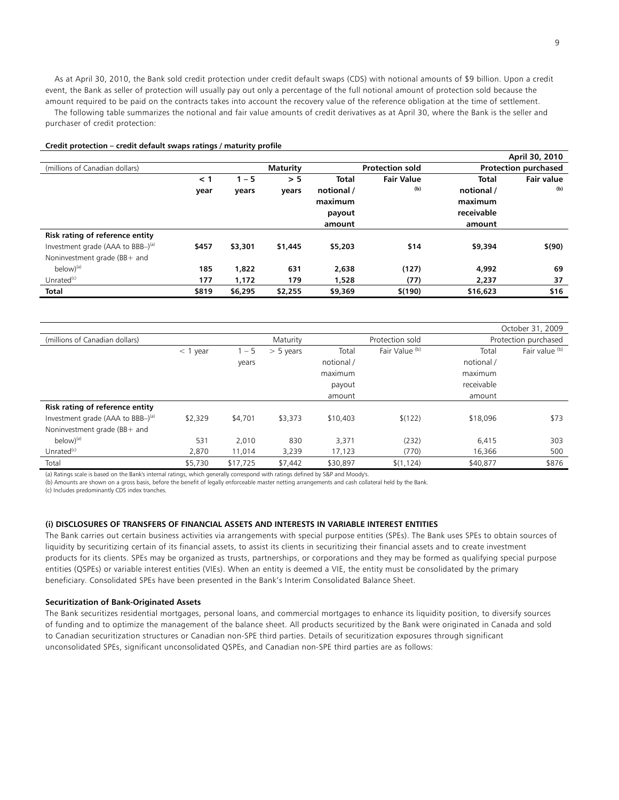As at April 30, 2010, the Bank sold credit protection under credit default swaps (CDS) with notional amounts of \$9 billion. Upon a credit event, the Bank as seller of protection will usually pay out only a percentage of the full notional amount of protection sold because the amount required to be paid on the contracts takes into account the recovery value of the reference obligation at the time of settlement. The following table summarizes the notional and fair value amounts of credit derivatives as at April 30, where the Bank is the seller and purchaser of credit protection:

# **Credit protection – credit default swaps ratings / maturity profile**

|                                                   |       |         |                 |            |                        |              | April 30, 2010              |
|---------------------------------------------------|-------|---------|-----------------|------------|------------------------|--------------|-----------------------------|
| (millions of Canadian dollars)                    |       |         | <b>Maturity</b> |            | <b>Protection sold</b> |              | <b>Protection purchased</b> |
|                                                   | < 1   | $1 - 5$ | > 5             | Total      | <b>Fair Value</b>      | <b>Total</b> | <b>Fair value</b>           |
|                                                   | year  | years   | years           | notional / | (b)                    | notional /   | (b)                         |
|                                                   |       |         |                 | maximum    |                        | maximum      |                             |
|                                                   |       |         |                 | payout     |                        | receivable   |                             |
|                                                   |       |         |                 | amount     |                        | amount       |                             |
| Risk rating of reference entity                   |       |         |                 |            |                        |              |                             |
| Investment grade (AAA to BBB $-$ ) <sup>(a)</sup> | \$457 | \$3,301 | \$1,445         | \$5,203    | \$14                   | \$9,394      | \$(90)                      |
| Noninvestment grade (BB+ and                      |       |         |                 |            |                        |              |                             |
| $below)^{(a)}$                                    | 185   | 1,822   | 631             | 2,638      | (127)                  | 4,992        | 69                          |
| Unrated $(c)$                                     | 177   | 1,172   | 179             | 1,528      | (77)                   | 2,237        | 37                          |
| <b>Total</b>                                      | \$819 | \$6,295 | \$2,255         | \$9,369    | \$(190)                | \$16,623     | \$16                        |

|                                                   |            |          |             |            |                           |            | October 31, 2009     |
|---------------------------------------------------|------------|----------|-------------|------------|---------------------------|------------|----------------------|
| (millions of Canadian dollars)                    |            |          | Maturity    |            | Protection sold           |            | Protection purchased |
|                                                   | $<$ 1 year | $1 - 5$  | $>$ 5 years | Total      | Fair Value <sup>(b)</sup> | Total      | Fair value (b)       |
|                                                   |            | years    |             | notional / |                           | notional / |                      |
|                                                   |            |          |             | maximum    |                           | maximum    |                      |
|                                                   |            |          |             | payout     |                           | receivable |                      |
|                                                   |            |          |             | amount     |                           | amount     |                      |
| Risk rating of reference entity                   |            |          |             |            |                           |            |                      |
| Investment grade (AAA to BBB $-$ ) <sup>(a)</sup> | \$2,329    | \$4,701  | \$3,373     | \$10,403   | \$(122)                   | \$18,096   | \$73                 |
| Noninvestment grade (BB+ and                      |            |          |             |            |                           |            |                      |
| $below)^{(a)}$                                    | 531        | 2,010    | 830         | 3,371      | (232)                     | 6,415      | 303                  |
| Unrated $(c)$                                     | 2,870      | 11,014   | 3,239       | 17,123     | (770)                     | 16,366     | 500                  |
| Total                                             | \$5,730    | \$17,725 | \$7,442     | \$30,897   | \$(1, 124)                | \$40,877   | \$876                |

(a) Ratings scale is based on the Bank's internal ratings, which generally correspond with ratings defined by S&P and Moody's.

(b) Amounts are shown on a gross basis, before the benefit of legally enforceable master netting arrangements and cash collateral held by the Bank.

(c) Includes predominantly CDS index tranches.

### **(i) DISCLOSURES OF TRANSFERS OF FINANCIAL ASSETS AND INTERESTS IN VARIABLE INTEREST ENTITIES**

The Bank carries out certain business activities via arrangements with special purpose entities (SPEs). The Bank uses SPEs to obtain sources of liquidity by securitizing certain of its financial assets, to assist its clients in securitizing their financial assets and to create investment products for its clients. SPEs may be organized as trusts, partnerships, or corporations and they may be formed as qualifying special purpose entities (QSPEs) or variable interest entities (VIEs). When an entity is deemed a VIE, the entity must be consolidated by the primary beneficiary. Consolidated SPEs have been presented in the Bank's Interim Consolidated Balance Sheet.

### **Securitization of Bank-Originated Assets**

The Bank securitizes residential mortgages, personal loans, and commercial mortgages to enhance its liquidity position, to diversify sources of funding and to optimize the management of the balance sheet. All products securitized by the Bank were originated in Canada and sold to Canadian securitization structures or Canadian non-SPE third parties. Details of securitization exposures through significant unconsolidated SPEs, significant unconsolidated QSPEs, and Canadian non-SPE third parties are as follows: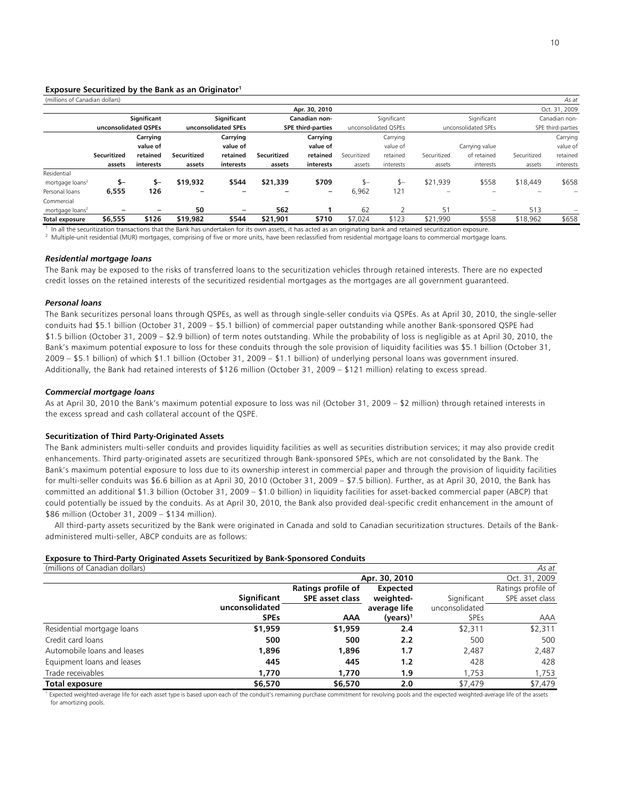### **Exposure Securitized by the Bank as an Originator1**

| (millions of Canadian dollars) |                      |                          |             |                          |             |                          |             |                      |             |                          |             | As at             |
|--------------------------------|----------------------|--------------------------|-------------|--------------------------|-------------|--------------------------|-------------|----------------------|-------------|--------------------------|-------------|-------------------|
|                                |                      |                          |             |                          |             | Apr. 30, 2010            |             |                      |             |                          |             | Oct. 31, 2009     |
|                                |                      | Significant              |             | Significant              |             | Canadian non-            |             | Significant          |             | Significant              |             | Canadian non-     |
|                                | unconsolidated OSPEs |                          |             | unconsolidated SPEs      |             | <b>SPE third-parties</b> |             | unconsolidated OSPEs |             | unconsolidated SPEs      |             | SPE third-parties |
|                                |                      | Carrying                 |             | Carrying                 |             | Carrying                 |             | Carrying             |             |                          |             | Carrying          |
|                                |                      | value of                 |             | value of                 |             | value of                 |             | value of             |             | Carrying value           |             | value of          |
|                                | Securitized          | retained                 | Securitized | retained                 | Securitized | retained                 | Securitized | retained             | Securitized | of retained              | Securitized | retained          |
|                                | assets               | interests                | assets      | interests                | assets      | interests                | assets      | interests            | assets      | interests                | assets      | interests         |
| Residential                    |                      |                          |             |                          |             |                          |             |                      |             |                          |             |                   |
| mortgage loans <sup>2</sup>    | \$-                  | $S-$                     | \$19,932    | \$544                    | \$21,339    | \$709                    | $S-$        | \$—                  | \$21,939    | \$558                    | \$18,449    | \$658             |
| Personal loans                 | 6,555                | 126                      |             |                          |             | -                        | 6,962       | 121                  |             |                          |             |                   |
| Commercial                     |                      |                          |             |                          |             |                          |             |                      |             |                          |             |                   |
| mortgage loans <sup>2</sup>    | -                    | $\overline{\phantom{0}}$ | 50          | $\overline{\phantom{0}}$ | 562         |                          | 62          |                      | 51          | $\overline{\phantom{0}}$ | 513         |                   |
| <b>Total exposure</b>          | \$6,555              | \$126                    | \$19,982    | \$544                    | \$21,901    | \$710                    | \$7.024     | \$123                | \$21,990    | \$558                    | \$18,962    | \$658             |

<sup>1</sup> In all the securitization transactions that the Bank has undertaken for its own assets, it has acted as an originating bank and retained securitization exposure.<br><sup>2</sup> Multiple-unit residential (MUR) mortgages, comprisi

#### *Residential mortgage loans*

The Bank may be exposed to the risks of transferred loans to the securitization vehicles through retained interests. There are no expected credit losses on the retained interests of the securitized residential mortgages as the mortgages are all government guaranteed.

#### *Personal loans*

The Bank securitizes personal loans through QSPEs, as well as through single-seller conduits via QSPEs. As at April 30, 2010, the single-seller conduits had \$5.1 billion (October 31, 2009 – \$5.1 billion) of commercial paper outstanding while another Bank-sponsored QSPE had \$1.5 billion (October 31, 2009 – \$2.9 billion) of term notes outstanding. While the probability of loss is negligible as at April 30, 2010, the Bank's maximum potential exposure to loss for these conduits through the sole provision of liquidity facilities was \$5.1 billion (October 31, 2009 – \$5.1 billion) of which \$1.1 billion (October 31, 2009 – \$1.1 billion) of underlying personal loans was government insured. Additionally, the Bank had retained interests of \$126 million (October 31, 2009 – \$121 million) relating to excess spread.

### *Commercial mortgage loans*

As at April 30, 2010 the Bank's maximum potential exposure to loss was nil (October 31, 2009 – \$2 million) through retained interests in the excess spread and cash collateral account of the QSPE.

#### **Securitization of Third Party-Originated Assets**

The Bank administers multi-seller conduits and provides liquidity facilities as well as securities distribution services; it may also provide credit enhancements. Third party-originated assets are securitized through Bank-sponsored SPEs, which are not consolidated by the Bank. The Bank's maximum potential exposure to loss due to its ownership interest in commercial paper and through the provision of liquidity facilities for multi-seller conduits was \$6.6 billion as at April 30, 2010 (October 31, 2009 – \$7.5 billion). Further, as at April 30, 2010, the Bank has committed an additional \$1.3 billion (October 31, 2009 – \$1.0 billion) in liquidity facilities for asset-backed commercial paper (ABCP) that could potentially be issued by the conduits. As at April 30, 2010, the Bank also provided deal-specific credit enhancement in the amount of \$86 million (October 31, 2009 – \$134 million).

 All third-party assets securitized by the Bank were originated in Canada and sold to Canadian securitization structures. Details of the Bankadministered multi-seller, ABCP conduits are as follows:

#### **Exposure to Third-Party Originated Assets Securitized by Bank-Sponsored Conduits**

| (millions of Canadian dollars) |                |                    |                 |                | As at              |
|--------------------------------|----------------|--------------------|-----------------|----------------|--------------------|
|                                |                |                    | Apr. 30, 2010   |                | Oct. 31, 2009      |
|                                |                | Ratings profile of | <b>Expected</b> |                | Ratings profile of |
|                                | Significant    | SPE asset class    | weighted-       | Significant    | SPE asset class    |
|                                | unconsolidated |                    | average life    | unconsolidated |                    |
|                                | <b>SPEs</b>    | AAA                | $(years)^1$     | <b>SPEs</b>    | <b>AAA</b>         |
| Residential mortgage loans     | \$1,959        | \$1,959            | 2.4             | \$2,311        | \$2,311            |
| Credit card loans              | 500            | 500                | 2.2             | 500            | 500                |
| Automobile loans and leases    | 1,896          | 1,896              | 1.7             | 2,487          | 2,487              |
| Equipment loans and leases     | 445            | 445                | 1.2             | 428            | 428                |
| Trade receivables              | 1,770          | 1,770              | 1.9             | 1,753          | 1,753              |
| Total exposure                 | \$6,570        | \$6,570            | 2.0             | \$7,479        | \$7,479            |

<sup>1</sup> Expected weighted-average life for each asset type is based upon each of the conduit's remaining purchase commitment for revolving pools and the expected weighted-average life of the assets for amortizing pools.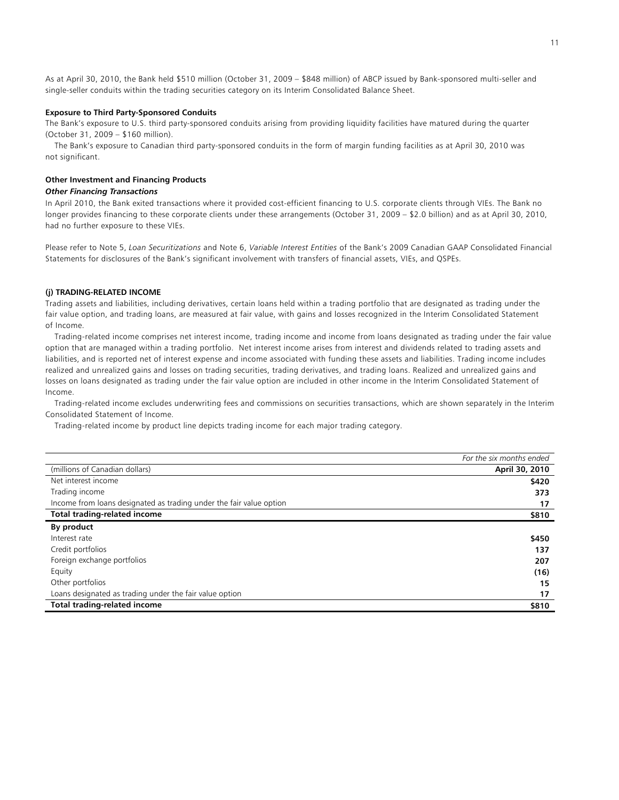As at April 30, 2010, the Bank held \$510 million (October 31, 2009 – \$848 million) of ABCP issued by Bank-sponsored multi-seller and single-seller conduits within the trading securities category on its Interim Consolidated Balance Sheet.

### **Exposure to Third Party-Sponsored Conduits**

The Bank's exposure to U.S. third party-sponsored conduits arising from providing liquidity facilities have matured during the quarter (October 31, 2009 – \$160 million).

 The Bank's exposure to Canadian third party-sponsored conduits in the form of margin funding facilities as at April 30, 2010 was not significant.

### **Other Investment and Financing Products**

## *Other Financing Transactions*

In April 2010, the Bank exited transactions where it provided cost-efficient financing to U.S. corporate clients through VIEs. The Bank no longer provides financing to these corporate clients under these arrangements (October 31, 2009 – \$2.0 billion) and as at April 30, 2010, had no further exposure to these VIEs.

Please refer to Note 5, *Loan Securitizations* and Note 6, *Variable Interest Entities* of the Bank's 2009 Canadian GAAP Consolidated Financial Statements for disclosures of the Bank's significant involvement with transfers of financial assets, VIEs, and QSPEs.

#### **(j) TRADING-RELATED INCOME**

Trading assets and liabilities, including derivatives, certain loans held within a trading portfolio that are designated as trading under the fair value option, and trading loans, are measured at fair value, with gains and losses recognized in the Interim Consolidated Statement of Income.

 Trading-related income comprises net interest income, trading income and income from loans designated as trading under the fair value option that are managed within a trading portfolio. Net interest income arises from interest and dividends related to trading assets and liabilities, and is reported net of interest expense and income associated with funding these assets and liabilities. Trading income includes realized and unrealized gains and losses on trading securities, trading derivatives, and trading loans. Realized and unrealized gains and losses on loans designated as trading under the fair value option are included in other income in the Interim Consolidated Statement of Income.

 Trading-related income excludes underwriting fees and commissions on securities transactions, which are shown separately in the Interim Consolidated Statement of Income.

Trading-related income by product line depicts trading income for each major trading category.

|                                                                     | For the six months ended |
|---------------------------------------------------------------------|--------------------------|
| (millions of Canadian dollars)                                      | April 30, 2010           |
| Net interest income                                                 | \$420                    |
| Trading income                                                      | 373                      |
| Income from loans designated as trading under the fair value option | 17                       |
| <b>Total trading-related income</b>                                 | \$810                    |
| By product                                                          |                          |
| Interest rate                                                       | \$450                    |
| Credit portfolios                                                   | 137                      |
| Foreign exchange portfolios                                         | 207                      |
| Equity                                                              | (16)                     |
| Other portfolios                                                    | 15                       |
| Loans designated as trading under the fair value option             | 17                       |
| <b>Total trading-related income</b>                                 | \$810                    |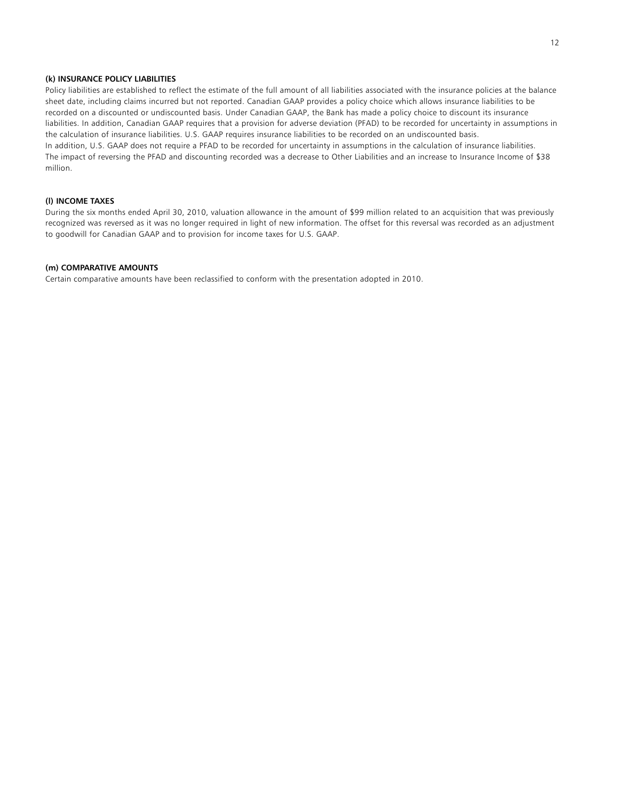# **(k) INSURANCE POLICY LIABILITIES**

Policy liabilities are established to reflect the estimate of the full amount of all liabilities associated with the insurance policies at the balance sheet date, including claims incurred but not reported. Canadian GAAP provides a policy choice which allows insurance liabilities to be recorded on a discounted or undiscounted basis. Under Canadian GAAP, the Bank has made a policy choice to discount its insurance liabilities. In addition, Canadian GAAP requires that a provision for adverse deviation (PFAD) to be recorded for uncertainty in assumptions in the calculation of insurance liabilities. U.S. GAAP requires insurance liabilities to be recorded on an undiscounted basis. In addition, U.S. GAAP does not require a PFAD to be recorded for uncertainty in assumptions in the calculation of insurance liabilities. The impact of reversing the PFAD and discounting recorded was a decrease to Other Liabilities and an increase to Insurance Income of \$38 million.

# **(l) INCOME TAXES**

During the six months ended April 30, 2010, valuation allowance in the amount of \$99 million related to an acquisition that was previously recognized was reversed as it was no longer required in light of new information. The offset for this reversal was recorded as an adjustment to goodwill for Canadian GAAP and to provision for income taxes for U.S. GAAP.

## **(m) COMPARATIVE AMOUNTS**

Certain comparative amounts have been reclassified to conform with the presentation adopted in 2010.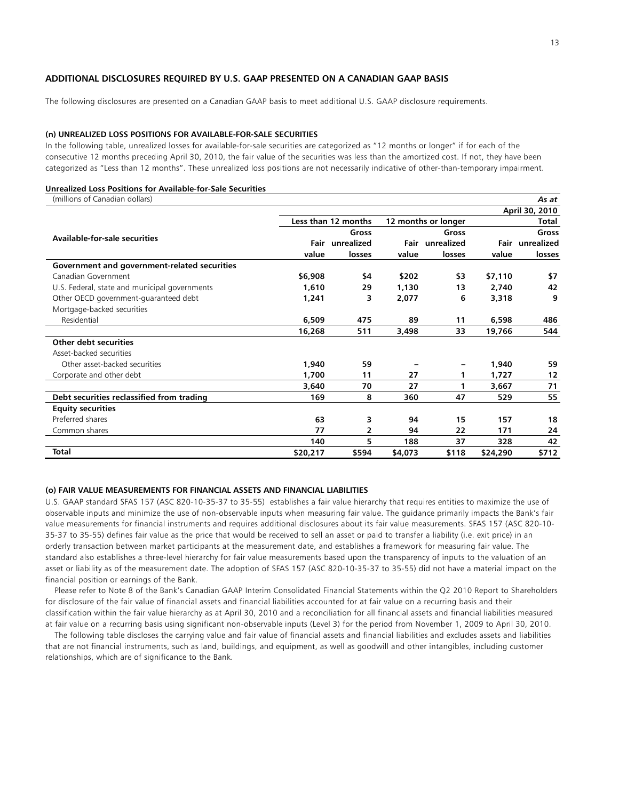# **ADDITIONAL DISCLOSURES REQUIRED BY U.S. GAAP PRESENTED ON A CANADIAN GAAP BASIS**

The following disclosures are presented on a Canadian GAAP basis to meet additional U.S. GAAP disclosure requirements.

#### **(n) UNREALIZED LOSS POSITIONS FOR AVAILABLE-FOR-SALE SECURITIES**

In the following table, unrealized losses for available-for-sale securities are categorized as "12 months or longer" if for each of the consecutive 12 months preceding April 30, 2010, the fair value of the securities was less than the amortized cost. If not, they have been categorized as "Less than 12 months". These unrealized loss positions are not necessarily indicative of other-than-temporary impairment.

### **Unrealized Loss Positions for Available-for-Sale Securities**

| (millions of Canadian dollars)                |          |                     |         |                     |          | As at           |
|-----------------------------------------------|----------|---------------------|---------|---------------------|----------|-----------------|
|                                               |          |                     |         |                     |          | April 30, 2010  |
|                                               |          | Less than 12 months |         | 12 months or longer |          | Total           |
|                                               |          | Gross               |         | Gross               |          | Gross           |
| Available-for-sale securities                 |          | Fair unrealized     |         | Fair unrealized     |          | Fair unrealized |
|                                               | value    | losses              | value   | losses              | value    | losses          |
| Government and government-related securities  |          |                     |         |                     |          |                 |
| Canadian Government                           | \$6,908  | \$4                 | \$202   | \$3                 | \$7,110  | \$7             |
| U.S. Federal, state and municipal governments | 1,610    | 29                  | 1,130   | 13                  | 2,740    | 42              |
| Other OECD government-guaranteed debt         | 1,241    | 3                   | 2,077   | 6                   | 3,318    | 9               |
| Mortgage-backed securities                    |          |                     |         |                     |          |                 |
| Residential                                   | 6,509    | 475                 | 89      | 11                  | 6,598    | 486             |
|                                               | 16,268   | 511                 | 3,498   | 33                  | 19,766   | 544             |
| Other debt securities                         |          |                     |         |                     |          |                 |
| Asset-backed securities                       |          |                     |         |                     |          |                 |
| Other asset-backed securities                 | 1,940    | 59                  |         |                     | 1,940    | 59              |
| Corporate and other debt                      | 1,700    | 11                  | 27      | 1                   | 1,727    | 12              |
|                                               | 3,640    | 70                  | 27      | 1                   | 3,667    | 71              |
| Debt securities reclassified from trading     | 169      | 8                   | 360     | 47                  | 529      | 55              |
| <b>Equity securities</b>                      |          |                     |         |                     |          |                 |
| Preferred shares                              | 63       | 3                   | 94      | 15                  | 157      | 18              |
| Common shares                                 | 77       | $\mathbf{2}$        | 94      | 22                  | 171      | 24              |
|                                               | 140      | 5                   | 188     | 37                  | 328      | 42              |
| <b>Total</b>                                  | \$20,217 | \$594               | \$4,073 | \$118               | \$24,290 | \$712           |

### **(o) FAIR VALUE MEASUREMENTS FOR FINANCIAL ASSETS AND FINANCIAL LIABILITIES**

U.S. GAAP standard SFAS 157 (ASC 820-10-35-37 to 35-55) establishes a fair value hierarchy that requires entities to maximize the use of observable inputs and minimize the use of non-observable inputs when measuring fair value. The guidance primarily impacts the Bank's fair value measurements for financial instruments and requires additional disclosures about its fair value measurements. SFAS 157 (ASC 820-10- 35-37 to 35-55) defines fair value as the price that would be received to sell an asset or paid to transfer a liability (i.e. exit price) in an orderly transaction between market participants at the measurement date, and establishes a framework for measuring fair value. The standard also establishes a three-level hierarchy for fair value measurements based upon the transparency of inputs to the valuation of an asset or liability as of the measurement date. The adoption of SFAS 157 (ASC 820-10-35-37 to 35-55) did not have a material impact on the financial position or earnings of the Bank.

 Please refer to Note 8 of the Bank's Canadian GAAP Interim Consolidated Financial Statements within the Q2 2010 Report to Shareholders for disclosure of the fair value of financial assets and financial liabilities accounted for at fair value on a recurring basis and their classification within the fair value hierarchy as at April 30, 2010 and a reconciliation for all financial assets and financial liabilities measured at fair value on a recurring basis using significant non-observable inputs (Level 3) for the period from November 1, 2009 to April 30, 2010.

 The following table discloses the carrying value and fair value of financial assets and financial liabilities and excludes assets and liabilities that are not financial instruments, such as land, buildings, and equipment, as well as goodwill and other intangibles, including customer relationships, which are of significance to the Bank.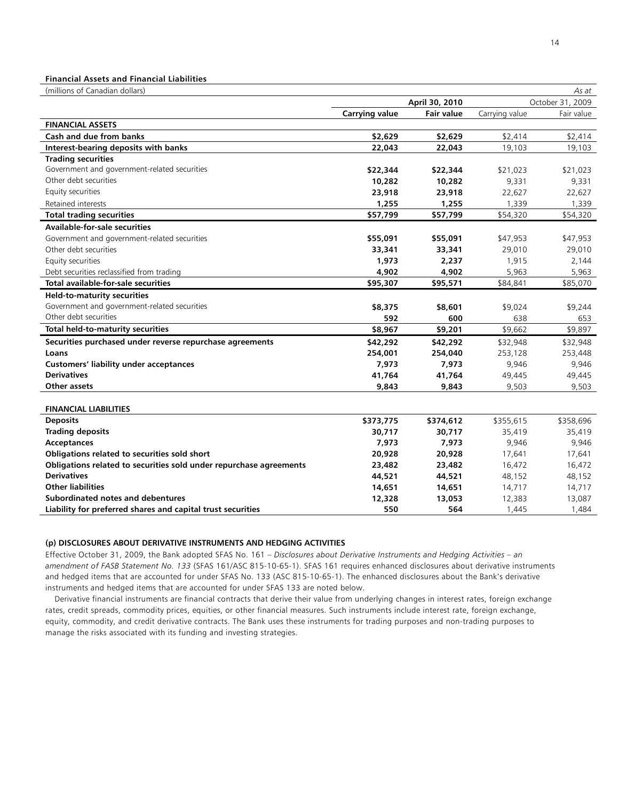# **Financial Assets and Financial Liabilities**

(millions of Canadian dollars) *As at* 

| ummono or canadian dollars,                                        | April 30, 2010        |                   | AJ UL<br>October 31, 2009 |            |
|--------------------------------------------------------------------|-----------------------|-------------------|---------------------------|------------|
|                                                                    | <b>Carrying value</b> | <b>Fair value</b> | Carrying value            | Fair value |
| <b>FINANCIAL ASSETS</b>                                            |                       |                   |                           |            |
| <b>Cash and due from banks</b>                                     | \$2,629               | \$2,629           | \$2,414                   | \$2,414    |
| Interest-bearing deposits with banks                               | 22,043                | 22,043            | 19,103                    | 19,103     |
| <b>Trading securities</b>                                          |                       |                   |                           |            |
| Government and government-related securities                       | \$22,344              | \$22,344          | \$21,023                  | \$21,023   |
| Other debt securities                                              | 10,282                | 10,282            | 9,331                     | 9,331      |
| Equity securities                                                  | 23,918                | 23,918            | 22,627                    | 22,627     |
| Retained interests                                                 | 1,255                 | 1,255             | 1,339                     | 1,339      |
| <b>Total trading securities</b>                                    | \$57,799              | \$57,799          | \$54,320                  | \$54,320   |
| <b>Available-for-sale securities</b>                               |                       |                   |                           |            |
| Government and government-related securities                       | \$55,091              | \$55,091          | \$47,953                  | \$47,953   |
| Other debt securities                                              | 33,341                | 33,341            | 29,010                    | 29,010     |
| Equity securities                                                  | 1,973                 | 2,237             | 1,915                     | 2,144      |
| Debt securities reclassified from trading                          | 4,902                 | 4,902             | 5,963                     | 5,963      |
| <b>Total available-for-sale securities</b>                         | \$95,307              | \$95,571          | \$84,841                  | \$85,070   |
| <b>Held-to-maturity securities</b>                                 |                       |                   |                           |            |
| Government and government-related securities                       | \$8,375               | \$8,601           | \$9,024                   | \$9,244    |
| Other debt securities                                              | 592                   | 600               | 638                       | 653        |
| Total held-to-maturity securities                                  | \$8,967               | \$9,201           | \$9,662                   | \$9,897    |
| Securities purchased under reverse repurchase agreements           | \$42,292              | \$42,292          | \$32,948                  | \$32,948   |
| Loans                                                              | 254,001               | 254,040           | 253,128                   | 253,448    |
| <b>Customers' liability under acceptances</b>                      | 7,973                 | 7,973             | 9,946                     | 9,946      |
| <b>Derivatives</b>                                                 | 41,764                | 41,764            | 49,445                    | 49,445     |
| Other assets                                                       | 9,843                 | 9,843             | 9,503                     | 9,503      |
| <b>FINANCIAL LIABILITIES</b>                                       |                       |                   |                           |            |
| <b>Deposits</b>                                                    | \$373,775             | \$374,612         | \$355,615                 | \$358,696  |
| <b>Trading deposits</b>                                            | 30,717                | 30,717            | 35,419                    | 35,419     |
| Acceptances                                                        | 7,973                 | 7,973             | 9,946                     | 9,946      |
| Obligations related to securities sold short                       | 20,928                | 20,928            | 17,641                    | 17,641     |
| Obligations related to securities sold under repurchase agreements | 23,482                | 23,482            | 16,472                    | 16,472     |
| <b>Derivatives</b>                                                 | 44,521                | 44,521            | 48,152                    | 48,152     |
| <b>Other liabilities</b>                                           | 14,651                | 14,651            | 14,717                    | 14,717     |
| Subordinated notes and debentures                                  | 12,328                | 13,053            | 12,383                    | 13,087     |
| Liability for preferred shares and capital trust securities        | 550                   | 564               | 1,445                     | 1,484      |

# **(p) DISCLOSURES ABOUT DERIVATIVE INSTRUMENTS AND HEDGING ACTIVITIES**

Effective October 31, 2009, the Bank adopted SFAS No. 161 – *Disclosures about Derivative Instruments and Hedging Activities – an amendment of FASB Statement No. 133* (SFAS 161/ASC 815-10-65-1). SFAS 161 requires enhanced disclosures about derivative instruments and hedged items that are accounted for under SFAS No. 133 (ASC 815-10-65-1). The enhanced disclosures about the Bank's derivative instruments and hedged items that are accounted for under SFAS 133 are noted below.

 Derivative financial instruments are financial contracts that derive their value from underlying changes in interest rates, foreign exchange rates, credit spreads, commodity prices, equities, or other financial measures. Such instruments include interest rate, foreign exchange, equity, commodity, and credit derivative contracts. The Bank uses these instruments for trading purposes and non-trading purposes to manage the risks associated with its funding and investing strategies.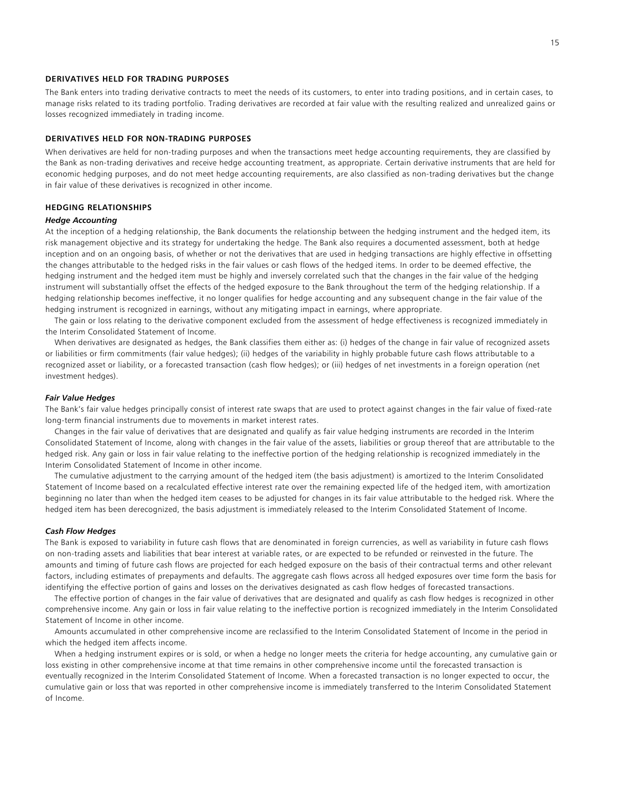## **DERIVATIVES HELD FOR TRADING PURPOSES**

The Bank enters into trading derivative contracts to meet the needs of its customers, to enter into trading positions, and in certain cases, to manage risks related to its trading portfolio. Trading derivatives are recorded at fair value with the resulting realized and unrealized gains or losses recognized immediately in trading income.

### **DERIVATIVES HELD FOR NON-TRADING PURPOSES**

When derivatives are held for non-trading purposes and when the transactions meet hedge accounting requirements, they are classified by the Bank as non-trading derivatives and receive hedge accounting treatment, as appropriate. Certain derivative instruments that are held for economic hedging purposes, and do not meet hedge accounting requirements, are also classified as non-trading derivatives but the change in fair value of these derivatives is recognized in other income.

### **HEDGING RELATIONSHIPS**

#### *Hedge Accounting*

At the inception of a hedging relationship, the Bank documents the relationship between the hedging instrument and the hedged item, its risk management objective and its strategy for undertaking the hedge. The Bank also requires a documented assessment, both at hedge inception and on an ongoing basis, of whether or not the derivatives that are used in hedging transactions are highly effective in offsetting the changes attributable to the hedged risks in the fair values or cash flows of the hedged items. In order to be deemed effective, the hedging instrument and the hedged item must be highly and inversely correlated such that the changes in the fair value of the hedging instrument will substantially offset the effects of the hedged exposure to the Bank throughout the term of the hedging relationship. If a hedging relationship becomes ineffective, it no longer qualifies for hedge accounting and any subsequent change in the fair value of the hedging instrument is recognized in earnings, without any mitigating impact in earnings, where appropriate.

 The gain or loss relating to the derivative component excluded from the assessment of hedge effectiveness is recognized immediately in the Interim Consolidated Statement of Income.

 When derivatives are designated as hedges, the Bank classifies them either as: (i) hedges of the change in fair value of recognized assets or liabilities or firm commitments (fair value hedges); (ii) hedges of the variability in highly probable future cash flows attributable to a recognized asset or liability, or a forecasted transaction (cash flow hedges); or (iii) hedges of net investments in a foreign operation (net investment hedges).

### *Fair Value Hedges*

The Bank's fair value hedges principally consist of interest rate swaps that are used to protect against changes in the fair value of fixed-rate long-term financial instruments due to movements in market interest rates.

 Changes in the fair value of derivatives that are designated and qualify as fair value hedging instruments are recorded in the Interim Consolidated Statement of Income, along with changes in the fair value of the assets, liabilities or group thereof that are attributable to the hedged risk. Any gain or loss in fair value relating to the ineffective portion of the hedging relationship is recognized immediately in the Interim Consolidated Statement of Income in other income.

 The cumulative adjustment to the carrying amount of the hedged item (the basis adjustment) is amortized to the Interim Consolidated Statement of Income based on a recalculated effective interest rate over the remaining expected life of the hedged item, with amortization beginning no later than when the hedged item ceases to be adjusted for changes in its fair value attributable to the hedged risk. Where the hedged item has been derecognized, the basis adjustment is immediately released to the Interim Consolidated Statement of Income.

#### *Cash Flow Hedges*

The Bank is exposed to variability in future cash flows that are denominated in foreign currencies, as well as variability in future cash flows on non-trading assets and liabilities that bear interest at variable rates, or are expected to be refunded or reinvested in the future. The amounts and timing of future cash flows are projected for each hedged exposure on the basis of their contractual terms and other relevant factors, including estimates of prepayments and defaults. The aggregate cash flows across all hedged exposures over time form the basis for identifying the effective portion of gains and losses on the derivatives designated as cash flow hedges of forecasted transactions.

 The effective portion of changes in the fair value of derivatives that are designated and qualify as cash flow hedges is recognized in other comprehensive income. Any gain or loss in fair value relating to the ineffective portion is recognized immediately in the Interim Consolidated Statement of Income in other income.

 Amounts accumulated in other comprehensive income are reclassified to the Interim Consolidated Statement of Income in the period in which the hedged item affects income.

 When a hedging instrument expires or is sold, or when a hedge no longer meets the criteria for hedge accounting, any cumulative gain or loss existing in other comprehensive income at that time remains in other comprehensive income until the forecasted transaction is eventually recognized in the Interim Consolidated Statement of Income. When a forecasted transaction is no longer expected to occur, the cumulative gain or loss that was reported in other comprehensive income is immediately transferred to the Interim Consolidated Statement of Income.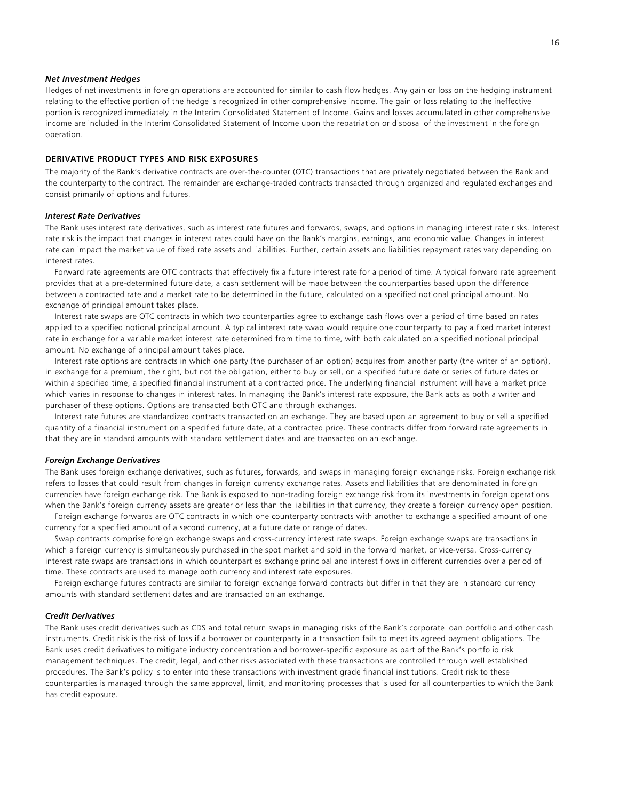### *Net Investment Hedges*

Hedges of net investments in foreign operations are accounted for similar to cash flow hedges. Any gain or loss on the hedging instrument relating to the effective portion of the hedge is recognized in other comprehensive income. The gain or loss relating to the ineffective portion is recognized immediately in the Interim Consolidated Statement of Income. Gains and losses accumulated in other comprehensive income are included in the Interim Consolidated Statement of Income upon the repatriation or disposal of the investment in the foreign operation.

### **DERIVATIVE PRODUCT TYPES AND RISK EXPOSURES**

The majority of the Bank's derivative contracts are over-the-counter (OTC) transactions that are privately negotiated between the Bank and the counterparty to the contract. The remainder are exchange-traded contracts transacted through organized and regulated exchanges and consist primarily of options and futures.

### *Interest Rate Derivatives*

The Bank uses interest rate derivatives, such as interest rate futures and forwards, swaps, and options in managing interest rate risks. Interest rate risk is the impact that changes in interest rates could have on the Bank's margins, earnings, and economic value. Changes in interest rate can impact the market value of fixed rate assets and liabilities. Further, certain assets and liabilities repayment rates vary depending on interest rates.

 Forward rate agreements are OTC contracts that effectively fix a future interest rate for a period of time. A typical forward rate agreement provides that at a pre-determined future date, a cash settlement will be made between the counterparties based upon the difference between a contracted rate and a market rate to be determined in the future, calculated on a specified notional principal amount. No exchange of principal amount takes place.

 Interest rate swaps are OTC contracts in which two counterparties agree to exchange cash flows over a period of time based on rates applied to a specified notional principal amount. A typical interest rate swap would require one counterparty to pay a fixed market interest rate in exchange for a variable market interest rate determined from time to time, with both calculated on a specified notional principal amount. No exchange of principal amount takes place.

 Interest rate options are contracts in which one party (the purchaser of an option) acquires from another party (the writer of an option), in exchange for a premium, the right, but not the obligation, either to buy or sell, on a specified future date or series of future dates or within a specified time, a specified financial instrument at a contracted price. The underlying financial instrument will have a market price which varies in response to changes in interest rates. In managing the Bank's interest rate exposure, the Bank acts as both a writer and purchaser of these options. Options are transacted both OTC and through exchanges.

 Interest rate futures are standardized contracts transacted on an exchange. They are based upon an agreement to buy or sell a specified quantity of a financial instrument on a specified future date, at a contracted price. These contracts differ from forward rate agreements in that they are in standard amounts with standard settlement dates and are transacted on an exchange.

### *Foreign Exchange Derivatives*

The Bank uses foreign exchange derivatives, such as futures, forwards, and swaps in managing foreign exchange risks. Foreign exchange risk refers to losses that could result from changes in foreign currency exchange rates. Assets and liabilities that are denominated in foreign currencies have foreign exchange risk. The Bank is exposed to non-trading foreign exchange risk from its investments in foreign operations when the Bank's foreign currency assets are greater or less than the liabilities in that currency, they create a foreign currency open position.

 Foreign exchange forwards are OTC contracts in which one counterparty contracts with another to exchange a specified amount of one currency for a specified amount of a second currency, at a future date or range of dates.

 Swap contracts comprise foreign exchange swaps and cross-currency interest rate swaps. Foreign exchange swaps are transactions in which a foreign currency is simultaneously purchased in the spot market and sold in the forward market, or vice-versa. Cross-currency interest rate swaps are transactions in which counterparties exchange principal and interest flows in different currencies over a period of time. These contracts are used to manage both currency and interest rate exposures.

 Foreign exchange futures contracts are similar to foreign exchange forward contracts but differ in that they are in standard currency amounts with standard settlement dates and are transacted on an exchange.

### *Credit Derivatives*

The Bank uses credit derivatives such as CDS and total return swaps in managing risks of the Bank's corporate loan portfolio and other cash instruments. Credit risk is the risk of loss if a borrower or counterparty in a transaction fails to meet its agreed payment obligations. The Bank uses credit derivatives to mitigate industry concentration and borrower-specific exposure as part of the Bank's portfolio risk management techniques. The credit, legal, and other risks associated with these transactions are controlled through well established procedures. The Bank's policy is to enter into these transactions with investment grade financial institutions. Credit risk to these counterparties is managed through the same approval, limit, and monitoring processes that is used for all counterparties to which the Bank has credit exposure.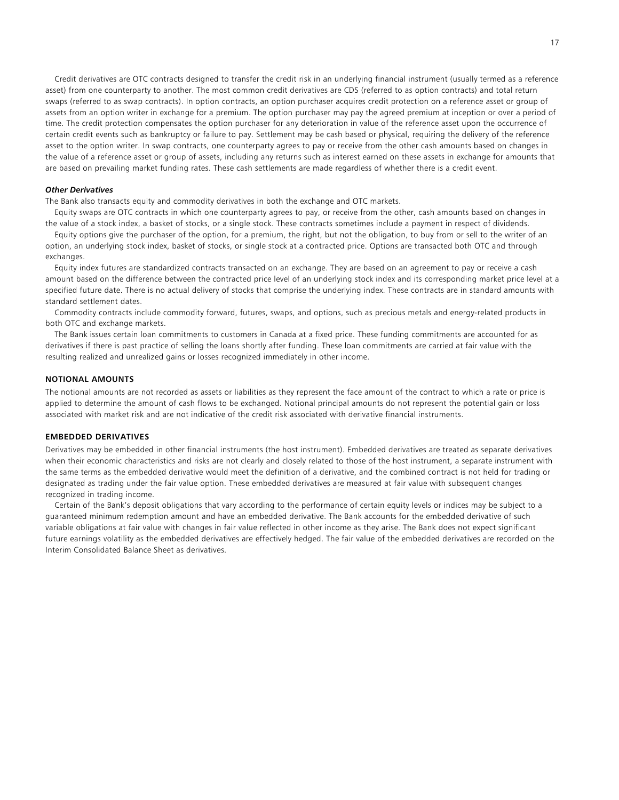Credit derivatives are OTC contracts designed to transfer the credit risk in an underlying financial instrument (usually termed as a reference asset) from one counterparty to another. The most common credit derivatives are CDS (referred to as option contracts) and total return swaps (referred to as swap contracts). In option contracts, an option purchaser acquires credit protection on a reference asset or group of assets from an option writer in exchange for a premium. The option purchaser may pay the agreed premium at inception or over a period of time. The credit protection compensates the option purchaser for any deterioration in value of the reference asset upon the occurrence of certain credit events such as bankruptcy or failure to pay. Settlement may be cash based or physical, requiring the delivery of the reference asset to the option writer. In swap contracts, one counterparty agrees to pay or receive from the other cash amounts based on changes in the value of a reference asset or group of assets, including any returns such as interest earned on these assets in exchange for amounts that are based on prevailing market funding rates. These cash settlements are made regardless of whether there is a credit event.

### *Other Derivatives*

The Bank also transacts equity and commodity derivatives in both the exchange and OTC markets.

 Equity swaps are OTC contracts in which one counterparty agrees to pay, or receive from the other, cash amounts based on changes in the value of a stock index, a basket of stocks, or a single stock. These contracts sometimes include a payment in respect of dividends.

 Equity options give the purchaser of the option, for a premium, the right, but not the obligation, to buy from or sell to the writer of an option, an underlying stock index, basket of stocks, or single stock at a contracted price. Options are transacted both OTC and through exchanges.

 Equity index futures are standardized contracts transacted on an exchange. They are based on an agreement to pay or receive a cash amount based on the difference between the contracted price level of an underlying stock index and its corresponding market price level at a specified future date. There is no actual delivery of stocks that comprise the underlying index. These contracts are in standard amounts with standard settlement dates.

 Commodity contracts include commodity forward, futures, swaps, and options, such as precious metals and energy-related products in both OTC and exchange markets.

 The Bank issues certain loan commitments to customers in Canada at a fixed price. These funding commitments are accounted for as derivatives if there is past practice of selling the loans shortly after funding. These loan commitments are carried at fair value with the resulting realized and unrealized gains or losses recognized immediately in other income.

### **NOTIONAL AMOUNTS**

The notional amounts are not recorded as assets or liabilities as they represent the face amount of the contract to which a rate or price is applied to determine the amount of cash flows to be exchanged. Notional principal amounts do not represent the potential gain or loss associated with market risk and are not indicative of the credit risk associated with derivative financial instruments.

# **EMBEDDED DERIVATIVES**

Derivatives may be embedded in other financial instruments (the host instrument). Embedded derivatives are treated as separate derivatives when their economic characteristics and risks are not clearly and closely related to those of the host instrument, a separate instrument with the same terms as the embedded derivative would meet the definition of a derivative, and the combined contract is not held for trading or designated as trading under the fair value option. These embedded derivatives are measured at fair value with subsequent changes recognized in trading income.

 Certain of the Bank's deposit obligations that vary according to the performance of certain equity levels or indices may be subject to a guaranteed minimum redemption amount and have an embedded derivative. The Bank accounts for the embedded derivative of such variable obligations at fair value with changes in fair value reflected in other income as they arise. The Bank does not expect significant future earnings volatility as the embedded derivatives are effectively hedged. The fair value of the embedded derivatives are recorded on the Interim Consolidated Balance Sheet as derivatives.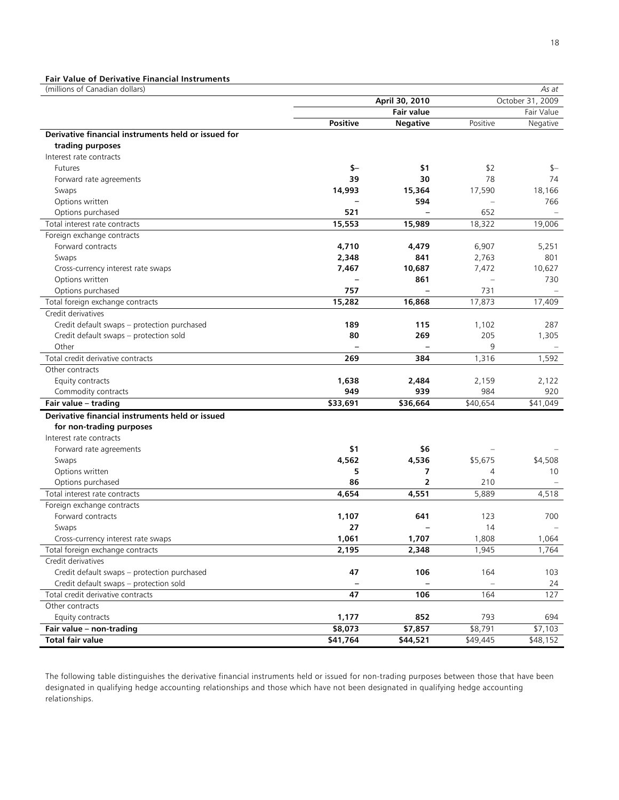# **Fair Value of Derivative Financial Instruments**

| (millions of Canadian dollars)                         |                 |                   |          | As at            |
|--------------------------------------------------------|-----------------|-------------------|----------|------------------|
|                                                        |                 | April 30, 2010    |          | October 31, 2009 |
|                                                        |                 | <b>Fair value</b> |          | Fair Value       |
|                                                        | <b>Positive</b> | <b>Negative</b>   | Positive | Negative         |
| Derivative financial instruments held or issued for    |                 |                   |          |                  |
| trading purposes                                       |                 |                   |          |                  |
| Interest rate contracts                                |                 |                   |          |                  |
| <b>Futures</b>                                         | $$-$            | \$1               | \$2      | \$—              |
| Forward rate agreements                                | 39              | 30                | 78       | 74               |
| Swaps                                                  | 14,993          | 15,364            | 17,590   | 18,166           |
| Options written                                        |                 | 594               |          | 766              |
| Options purchased                                      | 521             |                   | 652      |                  |
| Total interest rate contracts                          | 15,553          | 15,989            | 18,322   | 19,006           |
| Foreign exchange contracts                             |                 |                   |          |                  |
| Forward contracts                                      | 4,710           | 4,479             | 6,907    | 5,251            |
| Swaps                                                  | 2,348           | 841               | 2,763    | 801              |
| Cross-currency interest rate swaps                     | 7,467           | 10,687            | 7,472    | 10,627           |
| Options written                                        |                 | 861               |          | 730              |
| Options purchased                                      | 757             |                   | 731      |                  |
| Total foreign exchange contracts                       | 15,282          | 16,868            | 17,873   | 17,409           |
| Credit derivatives                                     |                 |                   |          |                  |
| Credit default swaps - protection purchased            | 189             | 115               | 1,102    | 287              |
| Credit default swaps - protection sold                 | 80              | 269               | 205      | 1,305            |
| Other                                                  |                 |                   | 9        |                  |
| Total credit derivative contracts                      | 269             | 384               | 1,316    | 1,592            |
| Other contracts                                        |                 |                   |          |                  |
| Equity contracts                                       | 1,638           | 2,484             | 2,159    | 2,122            |
| Commodity contracts                                    | 949             | 939               | 984      | 920              |
| Fair value - trading                                   | \$33,691        | \$36,664          | \$40,654 | \$41,049         |
| Derivative financial instruments held or issued        |                 |                   |          |                  |
| for non-trading purposes                               |                 |                   |          |                  |
| Interest rate contracts                                |                 |                   |          |                  |
| Forward rate agreements                                | \$1             | \$6               |          |                  |
| Swaps                                                  | 4,562           | 4,536             | \$5,675  | \$4,508          |
| Options written                                        | 5               | 7                 | 4        | 10               |
| Options purchased                                      | 86              | $\overline{2}$    | 210      |                  |
| Total interest rate contracts                          | 4,654           | 4,551             | 5,889    | 4,518            |
| Foreign exchange contracts                             |                 |                   |          |                  |
| Forward contracts                                      | 1,107           | 641               | 123      | 700              |
| Swaps                                                  | 27              |                   | 14       |                  |
| Cross-currency interest rate swaps                     | 1,061           |                   | 1,808    | 1,064            |
|                                                        | 2,195           | 1,707             | 1,945    | 1,764            |
| Total foreign exchange contracts<br>Credit derivatives |                 | 2,348             |          |                  |
|                                                        |                 | 106               |          |                  |
| Credit default swaps - protection purchased            | 47              |                   | 164      | 103              |
| Credit default swaps - protection sold                 |                 |                   |          | 24               |
| Total credit derivative contracts                      | 47              | 106               | 164      | 127              |
| Other contracts                                        |                 |                   |          |                  |
| Equity contracts                                       | 1,177           | 852               | 793      | 694              |
| Fair value - non-trading                               | \$8,073         | \$7,857           | \$8,791  | \$7,103          |
| <b>Total fair value</b>                                | \$41,764        | \$44,521          | \$49,445 | \$48,152         |

The following table distinguishes the derivative financial instruments held or issued for non-trading purposes between those that have been designated in qualifying hedge accounting relationships and those which have not been designated in qualifying hedge accounting relationships.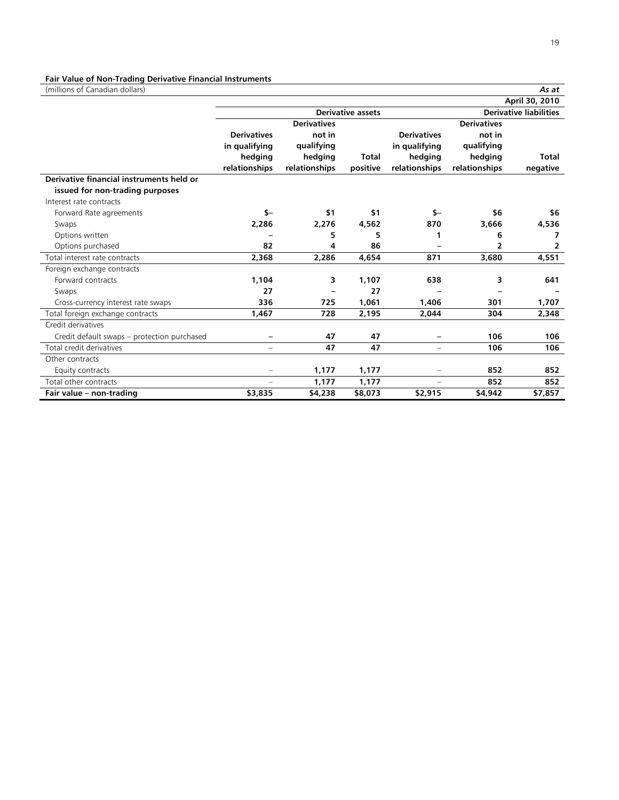# **Fair Value of Non-Trading Derivative Financial Instruments**

(millions of Canadian dollars) *As at* 

|                                             |                          |                    |                          |                          |                    | April 30, 2010                |
|---------------------------------------------|--------------------------|--------------------|--------------------------|--------------------------|--------------------|-------------------------------|
|                                             |                          |                    | <b>Derivative assets</b> |                          |                    | <b>Derivative liabilities</b> |
|                                             |                          | <b>Derivatives</b> |                          |                          | <b>Derivatives</b> |                               |
|                                             | <b>Derivatives</b>       | not in             |                          | <b>Derivatives</b>       | not in             |                               |
|                                             | in qualifying            | qualifying         |                          | in qualifying            | qualifying         |                               |
|                                             | hedging                  | hedging            | <b>Total</b>             | hedging                  | hedging            | <b>Total</b>                  |
|                                             | relationships            | relationships      | positive                 | relationships            | relationships      | negative                      |
| Derivative financial instruments held or    |                          |                    |                          |                          |                    |                               |
| issued for non-trading purposes             |                          |                    |                          |                          |                    |                               |
| Interest rate contracts                     |                          |                    |                          |                          |                    |                               |
| Forward Rate agreements                     | \$-                      | \$1                | \$1                      | $S-$                     | \$6                | \$6                           |
| Swaps                                       | 2,286                    | 2,276              | 4,562                    | 870                      | 3,666              | 4,536                         |
| Options written                             |                          | 5                  | 5                        | 1                        | 6                  | 7                             |
| Options purchased                           | 82                       | 4                  | 86                       |                          | 2                  | 2                             |
| Total interest rate contracts               | 2,368                    | 2,286              | 4,654                    | 871                      | 3,680              | 4,551                         |
| Foreign exchange contracts                  |                          |                    |                          |                          |                    |                               |
| Forward contracts                           | 1,104                    | 3                  | 1,107                    | 638                      | 3                  | 641                           |
| Swaps                                       | 27                       |                    | 27                       |                          |                    |                               |
| Cross-currency interest rate swaps          | 336                      | 725                | 1,061                    | 1,406                    | 301                | 1,707                         |
| Total foreign exchange contracts            | 1,467                    | 728                | 2,195                    | 2,044                    | 304                | 2,348                         |
| Credit derivatives                          |                          |                    |                          |                          |                    |                               |
| Credit default swaps – protection purchased |                          | 47                 | 47                       |                          | 106                | 106                           |
| Total credit derivatives                    | $\overline{\phantom{m}}$ | 47                 | 47                       | $\overline{\phantom{m}}$ | 106                | 106                           |
| Other contracts                             |                          |                    |                          |                          |                    |                               |
| Equity contracts                            | $\equiv$                 | 1,177              | 1,177                    | $\overline{\phantom{m}}$ | 852                | 852                           |
| Total other contracts                       | $\equiv$                 | 1,177              | 1,177                    | $\equiv$                 | 852                | 852                           |
| Fair value - non-trading                    | \$3,835                  | \$4,238            | \$8,073                  | \$2,915                  | \$4,942            | \$7,857                       |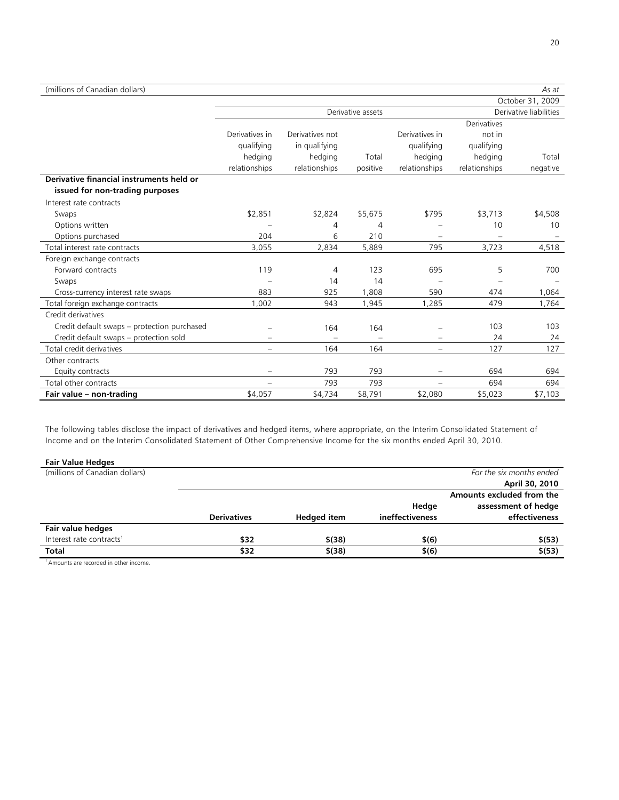| (millions of Canadian dollars)              |                          |                 |                   |                          |               | As at                  |
|---------------------------------------------|--------------------------|-----------------|-------------------|--------------------------|---------------|------------------------|
|                                             |                          |                 |                   |                          |               | October 31, 2009       |
|                                             |                          |                 | Derivative assets |                          |               | Derivative liabilities |
|                                             |                          |                 |                   |                          | Derivatives   |                        |
|                                             | Derivatives in           | Derivatives not |                   | Derivatives in           | not in        |                        |
|                                             | qualifying               | in qualifying   |                   | qualifying               | qualifying    |                        |
|                                             | hedging                  | hedging         | Total             | hedging                  | hedging       | Total                  |
|                                             | relationships            | relationships   | positive          | relationships            | relationships | negative               |
| Derivative financial instruments held or    |                          |                 |                   |                          |               |                        |
| issued for non-trading purposes             |                          |                 |                   |                          |               |                        |
| Interest rate contracts                     |                          |                 |                   |                          |               |                        |
| Swaps                                       | \$2,851                  | \$2,824         | \$5,675           | \$795                    | \$3,713       | \$4,508                |
| Options written                             |                          | 4               | 4                 |                          | 10            | 10 <sup>°</sup>        |
| Options purchased                           | 204                      | 6               | 210               |                          |               |                        |
| Total interest rate contracts               | 3,055                    | 2,834           | 5,889             | 795                      | 3,723         | 4,518                  |
| Foreign exchange contracts                  |                          |                 |                   |                          |               |                        |
| Forward contracts                           | 119                      | 4               | 123               | 695                      | 5             | 700                    |
| Swaps                                       |                          | 14              | 14                |                          |               |                        |
| Cross-currency interest rate swaps          | 883                      | 925             | 1,808             | 590                      | 474           | 1,064                  |
| Total foreign exchange contracts            | 1.002                    | 943             | 1,945             | 1,285                    | 479           | 1,764                  |
| Credit derivatives                          |                          |                 |                   |                          |               |                        |
| Credit default swaps - protection purchased |                          | 164             | 164               |                          | 103           | 103                    |
| Credit default swaps - protection sold      | $\overline{\phantom{m}}$ |                 |                   | $\overline{\phantom{0}}$ | 24            | 24                     |
| Total credit derivatives                    | $\equiv$                 | 164             | 164               | $\equiv$                 | 127           | 127                    |
| Other contracts                             |                          |                 |                   |                          |               |                        |
| Equity contracts                            |                          | 793             | 793               |                          | 694           | 694                    |
| Total other contracts                       |                          | 793             | 793               |                          | 694           | 694                    |
| Fair value - non-trading                    | \$4,057                  | \$4,734         | \$8,791           | \$2,080                  | \$5,023       | \$7,103                |

The following tables disclose the impact of derivatives and hedged items, where appropriate, on the Interim Consolidated Statement of Income and on the Interim Consolidated Statement of Other Comprehensive Income for the six months ended April 30, 2010.

| <b>Fair Value Hedges</b> |  |
|--------------------------|--|
|--------------------------|--|

| Fair value Hedges                    |                    |                    |                 |                           |
|--------------------------------------|--------------------|--------------------|-----------------|---------------------------|
| (millions of Canadian dollars)       |                    |                    |                 | For the six months ended  |
|                                      |                    |                    |                 | April 30, 2010            |
|                                      |                    |                    |                 | Amounts excluded from the |
|                                      |                    |                    | Hedge           | assessment of hedge       |
|                                      | <b>Derivatives</b> | <b>Hedged item</b> | ineffectiveness | effectiveness             |
| Fair value hedges                    |                    |                    |                 |                           |
| Interest rate contracts <sup>1</sup> | \$32               | \$(38)             | \$(6)           | \$(53)                    |
| <b>Total</b>                         | \$32               | $$^{(38)}$         | \$(6)           | \$(53)                    |

1 Amounts are recorded in other income.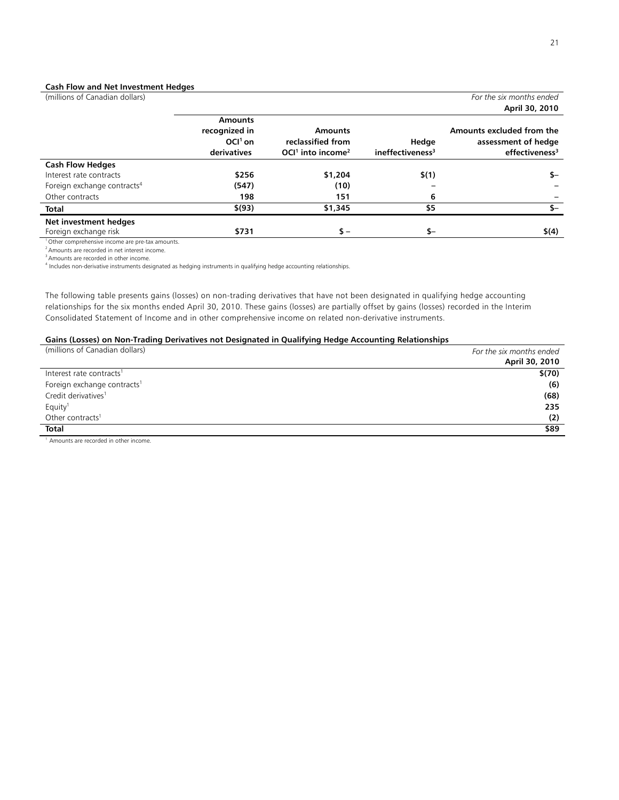### **Cash Flow and Net Investment Hedges**

|                                 |                          |                                                      | For the six months ended              |
|---------------------------------|--------------------------|------------------------------------------------------|---------------------------------------|
|                                 |                          |                                                      | April 30, 2010                        |
| <b>Amounts</b><br>recognized in | <b>Amounts</b>           |                                                      | Amounts excluded from the             |
|                                 |                          |                                                      | assessment of hedge                   |
|                                 |                          |                                                      | effectiveness <sup>3</sup>            |
|                                 |                          |                                                      |                                       |
| \$256                           | \$1,204                  | \$(1)                                                | \$—                                   |
| (547)                           | (10)                     |                                                      |                                       |
| 198                             | 151                      | 6                                                    |                                       |
| \$(93)                          | \$1,345                  | \$5                                                  | \$–                                   |
|                                 |                          |                                                      |                                       |
| \$731                           | $s -$                    | \$-                                                  | \$(4)                                 |
|                                 | $OCl1$ on<br>derivatives | reclassified from<br>$OCl1$ into income <sup>2</sup> | Hedge<br>ineffectiveness <sup>3</sup> |

<sup>1</sup> Other comprehensive income are pre-tax amounts.

 $2$  Amounts are recorded in net interest income.

3 Amounts are recorded in other income.

4 Includes non-derivative instruments designated as hedging instruments in qualifying hedge accounting relationships.

The following table presents gains (losses) on non-trading derivatives that have not been designated in qualifying hedge accounting relationships for the six months ended April 30, 2010. These gains (losses) are partially offset by gains (losses) recorded in the Interim Consolidated Statement of Income and in other comprehensive income on related non-derivative instruments.

# **Gains (Losses) on Non-Trading Derivatives not Designated in Qualifying Hedge Accounting Relationships**

| (millions of Canadian dollars)          | For the six months ended<br>April 30, 2010 |
|-----------------------------------------|--------------------------------------------|
| Interest rate contracts <sup>1</sup>    | \$(70)                                     |
| Foreign exchange contracts <sup>1</sup> | (6)                                        |
| Credit derivatives <sup>1</sup>         | (68)                                       |
| Equity <sup>1</sup>                     | 235                                        |
| Other contracts <sup>1</sup>            | (2)                                        |
| Total                                   | \$89                                       |

<sup>1</sup> Amounts are recorded in other income.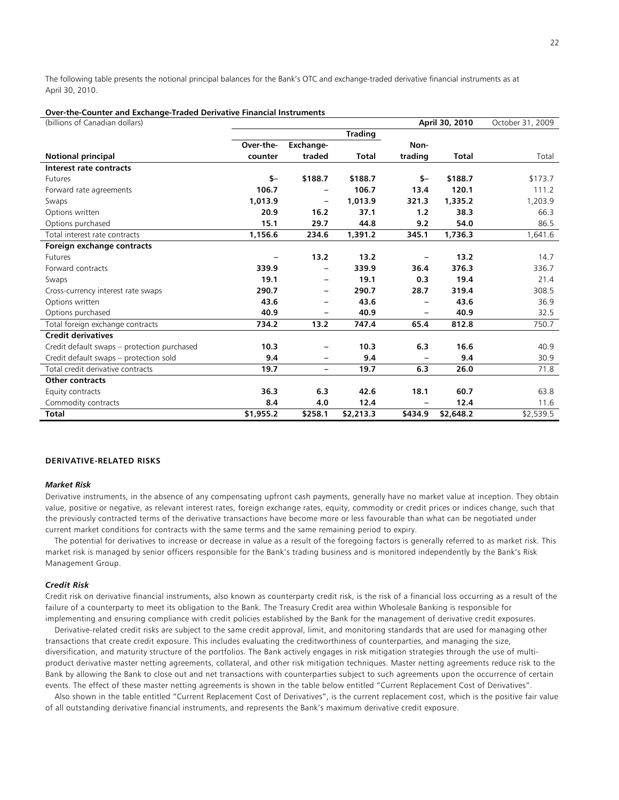The following table presents the notional principal balances for the Bank's OTC and exchange-traded derivative financial instruments as at April 30, 2010.

### **Over-the-Counter and Exchange-Traded Derivative Financial Instruments**

| (billions of Canadian dollars)              |           |                          |                |                   | April 30, 2010 | October 31, 2009 |
|---------------------------------------------|-----------|--------------------------|----------------|-------------------|----------------|------------------|
|                                             |           |                          | <b>Trading</b> |                   |                |                  |
|                                             | Over-the- | Exchange-                |                | Non-              |                |                  |
| <b>Notional principal</b>                   | counter   | traded                   | <b>Total</b>   | trading           | <b>Total</b>   | Total            |
| Interest rate contracts                     |           |                          |                |                   |                |                  |
| <b>Futures</b>                              | $S-$      | \$188.7                  | \$188.7        | $S-$              | \$188.7        | \$173.7          |
| Forward rate agreements                     | 106.7     |                          | 106.7          | 13.4              | 120.1          | 111.2            |
| Swaps                                       | 1,013.9   | $\overline{\phantom{m}}$ | 1,013.9        | 321.3             | 1,335.2        | 1,203.9          |
| Options written                             | 20.9      | 16.2                     | 37.1           | 1.2               | 38.3           | 66.3             |
| Options purchased                           | 15.1      | 29.7                     | 44.8           | 9.2               | 54.0           | 86.5             |
| Total interest rate contracts               | 1,156.6   | 234.6                    | 1,391.2        | 345.1             | 1,736.3        | 1,641.6          |
| Foreign exchange contracts                  |           |                          |                |                   |                |                  |
| <b>Futures</b>                              |           | 13.2                     | 13.2           | $\qquad \qquad -$ | 13.2           | 14.7             |
| Forward contracts                           | 339.9     |                          | 339.9          | 36.4              | 376.3          | 336.7            |
| Swaps                                       | 19.1      | -                        | 19.1           | 0.3               | 19.4           | 21.4             |
| Cross-currency interest rate swaps          | 290.7     | $\qquad \qquad -$        | 290.7          | 28.7              | 319.4          | 308.5            |
| Options written                             | 43.6      | -                        | 43.6           |                   | 43.6           | 36.9             |
| Options purchased                           | 40.9      | -                        | 40.9           | -                 | 40.9           | 32.5             |
| Total foreign exchange contracts            | 734.2     | 13.2                     | 747.4          | 65.4              | 812.8          | 750.7            |
| <b>Credit derivatives</b>                   |           |                          |                |                   |                |                  |
| Credit default swaps – protection purchased | 10.3      | -                        | 10.3           | 6.3               | 16.6           | 40.9             |
| Credit default swaps - protection sold      | 9.4       | -                        | 9.4            |                   | 9.4            | 30.9             |
| Total credit derivative contracts           | 19.7      | $\qquad \qquad -$        | 19.7           | 6.3               | 26.0           | 71.8             |
| <b>Other contracts</b>                      |           |                          |                |                   |                |                  |
| Equity contracts                            | 36.3      | 6.3                      | 42.6           | 18.1              | 60.7           | 63.8             |
| Commodity contracts                         | 8.4       | 4.0                      | 12.4           |                   | 12.4           | 11.6             |
| <b>Total</b>                                | \$1,955.2 | \$258.1                  | \$2,213.3      | \$434.9           | \$2,648.2      | \$2,539.5        |

## **DERIVATIVE-RELATED RISKS**

#### *Market Risk*

Derivative instruments, in the absence of any compensating upfront cash payments, generally have no market value at inception. They obtain value, positive or negative, as relevant interest rates, foreign exchange rates, equity, commodity or credit prices or indices change, such that the previously contracted terms of the derivative transactions have become more or less favourable than what can be negotiated under current market conditions for contracts with the same terms and the same remaining period to expiry.

 The potential for derivatives to increase or decrease in value as a result of the foregoing factors is generally referred to as market risk. This market risk is managed by senior officers responsible for the Bank's trading business and is monitored independently by the Bank's Risk Management Group.

### *Credit Risk*

Credit risk on derivative financial instruments, also known as counterparty credit risk, is the risk of a financial loss occurring as a result of the failure of a counterparty to meet its obligation to the Bank. The Treasury Credit area within Wholesale Banking is responsible for implementing and ensuring compliance with credit policies established by the Bank for the management of derivative credit exposures.

 Derivative-related credit risks are subject to the same credit approval, limit, and monitoring standards that are used for managing other transactions that create credit exposure. This includes evaluating the creditworthiness of counterparties, and managing the size, diversification, and maturity structure of the portfolios. The Bank actively engages in risk mitigation strategies through the use of multiproduct derivative master netting agreements, collateral, and other risk mitigation techniques. Master netting agreements reduce risk to the Bank by allowing the Bank to close out and net transactions with counterparties subject to such agreements upon the occurrence of certain events. The effect of these master netting agreements is shown in the table below entitled "Current Replacement Cost of Derivatives".

 Also shown in the table entitled "Current Replacement Cost of Derivatives", is the current replacement cost, which is the positive fair value of all outstanding derivative financial instruments, and represents the Bank's maximum derivative credit exposure.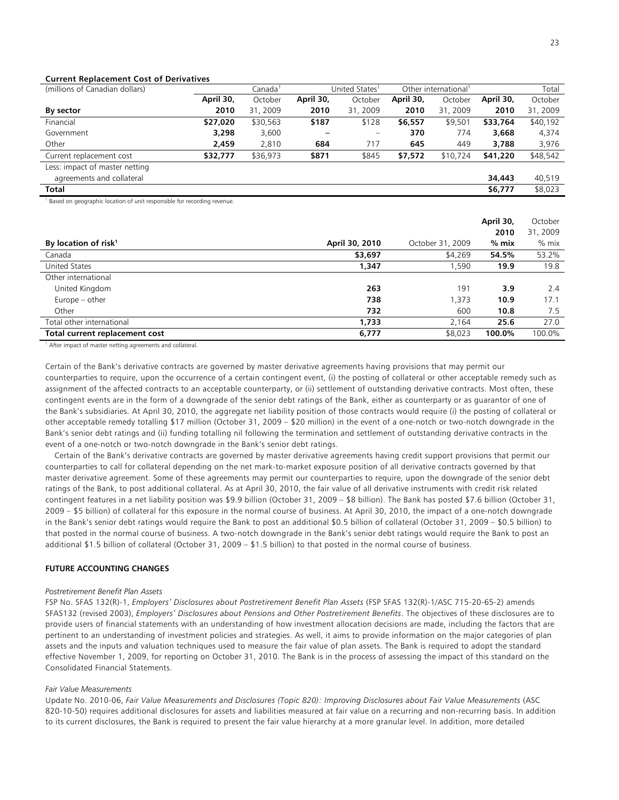### **Current Replacement Cost of Derivatives**

| (millions of Canadian dollars) |           | Canada <sup>1</sup><br>United States <sup>1</sup> |           | Other international <sup>1</sup> |           | Total    |           |          |
|--------------------------------|-----------|---------------------------------------------------|-----------|----------------------------------|-----------|----------|-----------|----------|
|                                | April 30, | October                                           | April 30, | October                          | April 30, | October  | April 30, | October  |
| By sector                      | 2010      | 31, 2009                                          | 2010      | 31, 2009                         | 2010      | 31, 2009 | 2010      | 31, 2009 |
| Financial                      | \$27,020  | \$30,563                                          | \$187     | \$128                            | \$6,557   | \$9,501  | \$33,764  | \$40,192 |
| Government                     | 3,298     | 3,600                                             |           | $\qquad \qquad -$                | 370       | 774      | 3,668     | 4,374    |
| Other                          | 2,459     | 2.810                                             | 684       | 717                              | 645       | 449      | 3,788     | 3,976    |
| Current replacement cost       | \$32,777  | \$36,973                                          | \$871     | \$845                            | \$7,572   | \$10,724 | \$41,220  | \$48,542 |
| Less: impact of master netting |           |                                                   |           |                                  |           |          |           |          |
| agreements and collateral      |           |                                                   |           |                                  |           |          | 34,443    | 40,519   |
| Total                          |           |                                                   |           |                                  |           |          | \$6,777   | \$8,023  |

<sup>1</sup> Based on geographic location of unit responsible for recording revenue.

|                                |                |                  | April 30, | October  |
|--------------------------------|----------------|------------------|-----------|----------|
|                                |                |                  | 2010      | 31, 2009 |
| By location of risk $1$        | April 30, 2010 | October 31, 2009 | $%$ mix   | $%$ mix  |
| Canada                         | \$3,697        | \$4,269          | 54.5%     | 53.2%    |
| United States                  | 1,347          | .590             | 19.9      | 19.8     |
| Other international            |                |                  |           |          |
| United Kingdom                 | 263            | 191              | 3.9       | 2.4      |
| Europe – other                 | 738            | 1,373            | 10.9      | 17.1     |
| Other                          | 732            | 600              | 10.8      | 7.5      |
| Total other international      | 1,733          | 2.164            | 25.6      | 27.0     |
| Total current replacement cost | 6,777          | \$8,023          | 100.0%    | 100.0%   |

<sup>1</sup> After impact of master netting agreements and collateral.

Certain of the Bank's derivative contracts are governed by master derivative agreements having provisions that may permit our counterparties to require, upon the occurrence of a certain contingent event, (i) the posting of collateral or other acceptable remedy such as assignment of the affected contracts to an acceptable counterparty, or (ii) settlement of outstanding derivative contracts. Most often, these contingent events are in the form of a downgrade of the senior debt ratings of the Bank, either as counterparty or as guarantor of one of the Bank's subsidiaries. At April 30, 2010, the aggregate net liability position of those contracts would require (i) the posting of collateral or other acceptable remedy totalling \$17 million (October 31, 2009 – \$20 million) in the event of a one-notch or two-notch downgrade in the Bank's senior debt ratings and (ii) funding totalling nil following the termination and settlement of outstanding derivative contracts in the event of a one-notch or two-notch downgrade in the Bank's senior debt ratings.

 Certain of the Bank's derivative contracts are governed by master derivative agreements having credit support provisions that permit our counterparties to call for collateral depending on the net mark-to-market exposure position of all derivative contracts governed by that master derivative agreement. Some of these agreements may permit our counterparties to require, upon the downgrade of the senior debt ratings of the Bank, to post additional collateral. As at April 30, 2010, the fair value of all derivative instruments with credit risk related contingent features in a net liability position was \$9.9 billion (October 31, 2009 – \$8 billion). The Bank has posted \$7.6 billion (October 31, 2009 – \$5 billion) of collateral for this exposure in the normal course of business. At April 30, 2010, the impact of a one-notch downgrade in the Bank's senior debt ratings would require the Bank to post an additional \$0.5 billion of collateral (October 31, 2009 – \$0.5 billion) to that posted in the normal course of business. A two-notch downgrade in the Bank's senior debt ratings would require the Bank to post an additional \$1.5 billion of collateral (October 31, 2009 – \$1.5 billion) to that posted in the normal course of business.

## **FUTURE ACCOUNTING CHANGES**

#### *Postretirement Benefit Plan Assets*

FSP No. SFAS 132(R)-1, *Employers' Disclosures about Postretirement Benefit Plan Assets* (FSP SFAS 132(R)-1/ASC 715-20-65-2) amends SFAS132 (revised 2003), *Employers' Disclosures about Pensions and Other Postretirement Benefits*. The objectives of these disclosures are to provide users of financial statements with an understanding of how investment allocation decisions are made, including the factors that are pertinent to an understanding of investment policies and strategies. As well, it aims to provide information on the major categories of plan assets and the inputs and valuation techniques used to measure the fair value of plan assets. The Bank is required to adopt the standard effective November 1, 2009, for reporting on October 31, 2010. The Bank is in the process of assessing the impact of this standard on the Consolidated Financial Statements.

#### *Fair Value Measurements*

Update No. 2010-06, *Fair Value Measurements and Disclosures (Topic 820): Improving Disclosures about Fair Value Measurements* (ASC 820-10-50) requires additional disclosures for assets and liabilities measured at fair value on a recurring and non-recurring basis. In addition to its current disclosures, the Bank is required to present the fair value hierarchy at a more granular level. In addition, more detailed